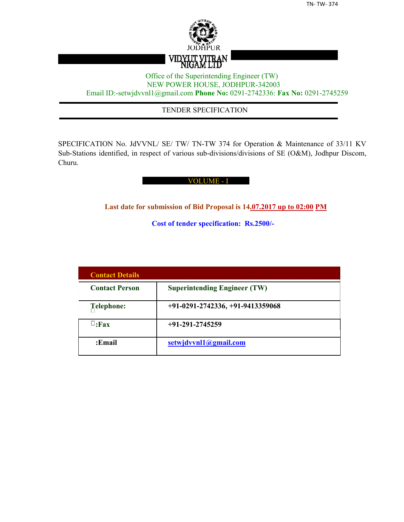

## Office of the Superintending Engineer (TW) NEW POWER HOUSE, JODHPUR-342003 Email ID:-setwjdvvnl1@gmail.com **Phone No:** 0291-2742336: **Fax No:** 0291-2745259

## TENDER SPECIFICATION

SPECIFICATION No. JdVVNL/ SE/ TW/ TN-TW 374 for Operation & Maintenance of 33/11 KV Sub-Stations identified, in respect of various sub-divisions/divisions of SE (O&M), Jodhpur Discom, Churu.

## VOLUME - I

**Last date for submission of Bid Proposal is 14.07.2017 up to 02:00 PM**

**Cost of tender specification: Rs.2500/-**

| <b>Contact Details</b> |                                     |
|------------------------|-------------------------------------|
| <b>Contact Person</b>  | <b>Superintending Engineer (TW)</b> |
| Telephone:             | $+91-0291-2742336, +91-9413359068$  |
| $\sqcup$ :Fax          | $+91-291-2745259$                   |
| :Email                 | setwjdvvnl1@gmail.com               |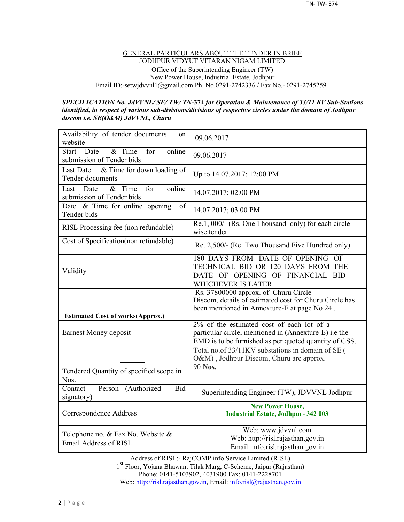#### GENERAL PARTICULARS ABOUT THE TENDER IN BRIEF JODHPUR VIDYUT VITARAN NIGAM LIMITED Office of the Superintending Engineer (TW) New Power House, Industrial Estate, Jodhpur Email ID:-setwjdvvnl1@gmail.com Ph. No.0291-2742336 / Fax No.- 0291-2745259

#### *SPECIFICATION No. JdVVNL/ SE/ TW/ TN-***374** *for Operation & Maintenance of 33/11 KV Sub-Stations identified, in respect of various sub-divisions/divisions of respective circles under the domain of Jodhpur discom i.e. SE(O&M) JdVVNL, Churu*

| Availability of tender documents<br>on<br>website                            | 09.06.2017                                                                                                                                                     |
|------------------------------------------------------------------------------|----------------------------------------------------------------------------------------------------------------------------------------------------------------|
| & Time<br>online<br><b>Start</b><br>Date<br>for<br>submission of Tender bids | 09.06.2017                                                                                                                                                     |
| & Time for down loading of<br>Last Date<br>Tender documents                  | Up to 14.07.2017; 12:00 PM                                                                                                                                     |
| $&$ Time<br>online<br>for<br>Last<br>Date<br>submission of Tender bids       | 14.07.2017; 02.00 PM                                                                                                                                           |
| Date & Time for online opening<br>of<br>Tender bids                          | 14.07.2017; 03.00 PM                                                                                                                                           |
| RISL Processing fee (non refundable)                                         | Re.1, 000/- (Rs. One Thousand only) for each circle<br>wise tender                                                                                             |
| Cost of Specification(non refundable)                                        | Re. 2,500/- (Re. Two Thousand Five Hundred only)                                                                                                               |
| Validity                                                                     | 180 DAYS FROM DATE OF OPENING OF<br>TECHNICAL BID OR 120 DAYS FROM THE<br>DATE OF OPENING OF FINANCIAL BID<br>WHICHEVER IS LATER                               |
|                                                                              | Rs. 37800000 approx. of Churu Circle<br>Discom, details of estimated cost for Churu Circle has                                                                 |
|                                                                              | been mentioned in Annexture-E at page No 24.                                                                                                                   |
| <b>Estimated Cost of works(Approx.)</b><br>Earnest Money deposit             | $2\%$ of the estimated cost of each lot of a<br>particular circle, mentioned in (Annexture-E) i.e the<br>EMD is to be furnished as per quoted quantity of GSS. |
| Tendered Quantity of specified scope in<br>Nos.                              | Total no.of 33/11KV substations in domain of SE (<br>O&M), Jodhpur Discom, Churu are approx.<br>90 Nos.                                                        |
| Contact<br>Person (Authorized<br><b>Bid</b><br>signatory)                    | Superintending Engineer (TW), JDVVNL Jodhpur                                                                                                                   |
| Correspondence Address                                                       | <b>New Power House,</b><br><b>Industrial Estate, Jodhpur-342 003</b>                                                                                           |

Address of RISL:- RajCOMP info Service Limited (RISL) 1 st Floor, Yojana Bhawan, Tilak Marg, C-Scheme, Jaipur (Rajasthan) Phone: 0141-5103902, 4031900 Fax: 0141-2228701 Web: http://risl.rajasthan.gov.in, Email: info.risl@rajasthan.gov.in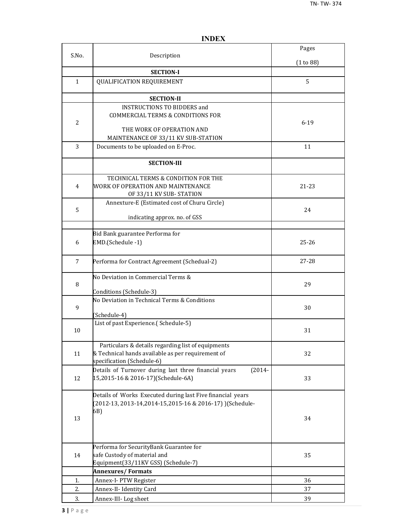|                |                                                                                                                                       | Pages     |
|----------------|---------------------------------------------------------------------------------------------------------------------------------------|-----------|
| S.No.          | Description                                                                                                                           | (1 to 88) |
|                | <b>SECTION-I</b>                                                                                                                      |           |
| $\mathbf{1}$   | <b>QUALIFICATION REQUIREMENT</b>                                                                                                      | 5         |
|                | <b>SECTION-II</b>                                                                                                                     |           |
| $\overline{2}$ | <b>INSTRUCTIONS TO BIDDERS and</b><br><b>COMMERCIAL TERMS &amp; CONDITIONS FOR</b><br>THE WORK OF OPERATION AND                       | $6 - 19$  |
|                | MAINTENANCE OF 33/11 KV SUB-STATION                                                                                                   |           |
| 3              | Documents to be uploaded on E-Proc.                                                                                                   | 11        |
|                | <b>SECTION-III</b>                                                                                                                    |           |
| 4              | TECHNICAL TERMS & CONDITION FOR THE<br>WORK OF OPERATION AND MAINTENANCE<br>OF 33/11 KV SUB-STATION                                   | 21-23     |
| 5              | Annexture-E (Estimated cost of Churu Circle)<br>indicating approx. no. of GSS                                                         | 24        |
|                |                                                                                                                                       |           |
| 6              | Bid Bank guarantee Performa for<br>EMD.(Schedule -1)                                                                                  | $25 - 26$ |
| $\overline{7}$ | Performa for Contract Agreement (Schedual-2)                                                                                          | 27-28     |
| 8              | No Deviation in Commercial Terms &<br>Conditions (Schedule-3)                                                                         | 29        |
| 9              | No Deviation in Technical Terms & Conditions<br>(Schedule-4)                                                                          | 30        |
| 10             | List of past Experience.(Schedule-5)                                                                                                  | 31        |
| 11             | Particulars & details regarding list of equipments<br>& Technical hands available as per requirement of<br>specification (Schedule-6) | 32        |
| 12             | Details of Turnover during last three financial years<br>$(2014 -$<br>15,2015-16 & 2016-17)(Schedule-6A)                              | 33        |
| 13             | Details of Works Executed during last Five financial years<br>(2012-13, 2013-14, 2014-15, 2015-16 & 2016-17) ) (Schedule-<br>6B)      | 34        |
| 14             | Performa for SecurityBank Guarantee for<br>safe Custody of material and<br>Equipment(33/11KV GSS) (Schedule-7)                        | 35        |
|                | <b>Annexures/Formats</b>                                                                                                              |           |
| 1.             | Annex-I- PTW Register                                                                                                                 | 36        |
| 2.             | Annex-II- Identity Card                                                                                                               | 37        |
| 3.             | Annex-III-Log sheet                                                                                                                   | 39        |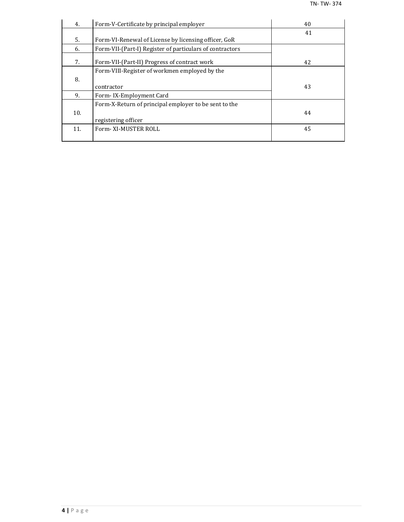| 4.  | Form-V-Certificate by principal employer                 | 40 |
|-----|----------------------------------------------------------|----|
|     |                                                          | 41 |
| 5.  | Form-VI-Renewal of License by licensing officer, GoR     |    |
| 6.  | Form-VII-(Part-I) Register of particulars of contractors |    |
| 7.  | Form-VII-(Part-II) Progress of contract work             | 42 |
|     | Form-VIII-Register of workmen employed by the            |    |
| 8.  |                                                          |    |
|     | contractor                                               | 43 |
| 9.  | Form-IX-Employment Card                                  |    |
|     | Form-X-Return of principal employer to be sent to the    |    |
| 10. |                                                          | 44 |
|     | registering officer                                      |    |
| 11. | Form-XI-MUSTER ROLL                                      | 45 |
|     |                                                          |    |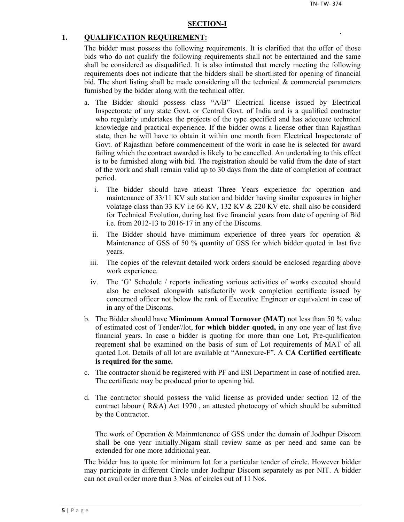#### **SECTION-I**

#### **1. QUALIFICATION REQUIREMENT:**

The bidder must possess the following requirements. It is clarified that the offer of those bids who do not qualify the following requirements shall not be entertained and the same shall be considered as disqualified. It is also intimated that merely meeting the following requirements does not indicate that the bidders shall be shortlisted for opening of financial bid. The short listing shall be made considering all the technical  $\&$  commercial parameters furnished by the bidder along with the technical offer.

- a. The Bidder should possess class "A/B" Electrical license issued by Electrical Inspectorate of any state Govt. or Central Govt. of India and is a qualified contractor who regularly undertakes the projects of the type specified and has adequate technical knowledge and practical experience. If the bidder owns a license other than Rajasthan state, then he will have to obtain it within one month from Electrical Inspectorate of Govt. of Rajasthan before commencement of the work in case he is selected for award failing which the contract awarded is likely to be cancelled. An undertaking to this effect is to be furnished along with bid. The registration should be valid from the date of start of the work and shall remain valid up to 30 days from the date of completion of contract period.
	- i. The bidder should have atleast Three Years experience for operation and maintenance of 33/11 KV sub station and bidder having similar exposures in higher volatage class than 33 KV i.e 66 KV, 132 KV & 220 KV etc. shall also be considerd for Technical Evolution, during last five financial years from date of opening of Bid i.e. from 2012-13 to 2016-17 in any of the Discoms.
	- ii. The Bidder should have mimimum experience of three years for operation  $\&$ Maintenance of GSS of 50 % quantity of GSS for which bidder quoted in last five years.
	- iii. The copies of the relevant detailed work orders should be enclosed regarding above work experience.
	- iv. The 'G' Schedule / reports indicating various activities of works executed should also be enclosed alongwith satisfactorily work completion certificate issued by concerned officer not below the rank of Executive Engineer or equivalent in case of in any of the Discoms.
- b. The Bidder should have **Mimimum Annual Turnover (MAT)** not less than 50 % value of estimated cost of Tender//lot, **for which bidder quoted,** in any one year of last five financial years. In case a bidder is quoting for more than one Lot, Pre-qualificaton reqrement shal be examined on the basis of sum of Lot requirements of MAT of all quoted Lot. Details of all lot are available at "Annexure-F". A **CA Certified certificate is required for the same.**
- c. The contractor should be registered with PF and ESI Department in case of notified area. The certificate may be produced prior to opening bid.
- d. The contractor should possess the valid license as provided under section 12 of the contract labour ( R&A) Act 1970 , an attested photocopy of which should be submitted by the Contractor.

The work of Operation & Mainmtenence of GSS under the domain of Jodhpur Discom shall be one year initially.Nigam shall review same as per need and same can be extended for one more additional year.

The bidder has to quote for minimum lot for a particular tender of circle. However bidder may participate in different Circle under Jodhpur Discom separately as per NIT. A bidder can not avail order more than 3 Nos. of circles out of 11 Nos.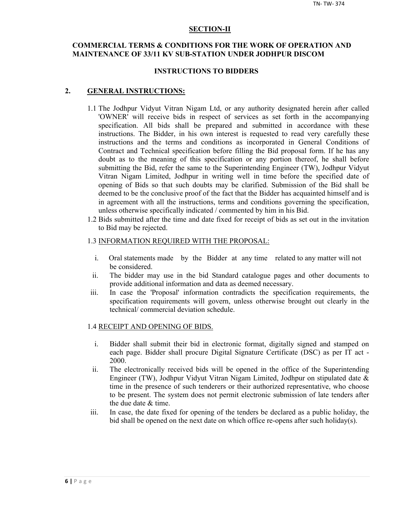#### **SECTION-II**

## **COMMERCIAL TERMS & CONDITIONS FOR THE WORK OF OPERATION AND MAINTENANCE OF 33/11 KV SUB-STATION UNDER JODHPUR DISCOM**

#### **INSTRUCTIONS TO BIDDERS**

#### **2. GENERAL INSTRUCTIONS:**

- 1.1 The Jodhpur Vidyut Vitran Nigam Ltd, or any authority designated herein after called 'OWNER' will receive bids in respect of services as set forth in the accompanying specification. All bids shall be prepared and submitted in accordance with these instructions. The Bidder, in his own interest is requested to read very carefully these instructions and the terms and conditions as incorporated in General Conditions of Contract and Technical specification before filling the Bid proposal form. If he has any doubt as to the meaning of this specification or any portion thereof, he shall before submitting the Bid, refer the same to the Superintending Engineer (TW), Jodhpur Vidyut Vitran Nigam Limited, Jodhpur in writing well in time before the specified date of opening of Bids so that such doubts may be clarified. Submission of the Bid shall be deemed to be the conclusive proof of the fact that the Bidder has acquainted himself and is in agreement with all the instructions, terms and conditions governing the specification, unless otherwise specifically indicated / commented by him in his Bid.
- 1.2 Bids submitted after the time and date fixed for receipt of bids as set out in the invitation to Bid may be rejected.

#### 1.3 INFORMATION REQUIRED WITH THE PROPOSAL:

- i. Oral statements made by the Bidder at any time related to any matter will not be considered.
- ii. The bidder may use in the bid Standard catalogue pages and other documents to provide additional information and data as deemed necessary.
- iii. In case the 'Proposal' information contradicts the specification requirements, the specification requirements will govern, unless otherwise brought out clearly in the technical/ commercial deviation schedule.

#### 1.4 RECEIPT AND OPENING OF BIDS.

- i. Bidder shall submit their bid in electronic format, digitally signed and stamped on each page. Bidder shall procure Digital Signature Certificate (DSC) as per IT act - 2000.
- ii. The electronically received bids will be opened in the office of the Superintending Engineer (TW), Jodhpur Vidyut Vitran Nigam Limited, Jodhpur on stipulated date & time in the presence of such tenderers or their authorized representative, who choose to be present. The system does not permit electronic submission of late tenders after the due date & time.
- iii. In case, the date fixed for opening of the tenders be declared as a public holiday, the bid shall be opened on the next date on which office re-opens after such holiday(s).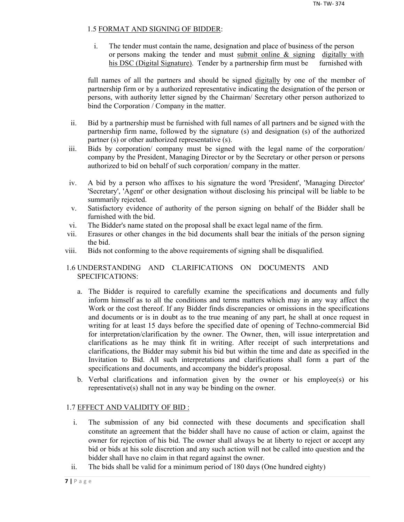## 1.5 FORMAT AND SIGNING OF BIDDER:

i. The tender must contain the name, designation and place of business of the person or persons making the tender and must submit online  $\&$  signing digitally with his DSC (Digital Signature). Tender by a partnership firm must be furnished with

full names of all the partners and should be signed digitally by one of the member of partnership firm or by a authorized representative indicating the designation of the person or persons, with authority letter signed by the Chairman/ Secretary other person authorized to bind the Corporation / Company in the matter.

- ii. Bid by a partnership must be furnished with full names of all partners and be signed with the partnership firm name, followed by the signature (s) and designation (s) of the authorized partner (s) or other authorized representative (s).
- iii. Bids by corporation/ company must be signed with the legal name of the corporation/ company by the President, Managing Director or by the Secretary or other person or persons authorized to bid on behalf of such corporation/ company in the matter.
- iv. A bid by a person who affixes to his signature the word 'President', 'Managing Director' 'Secretary', 'Agent' or other designation without disclosing his principal will be liable to be summarily rejected.
- v. Satisfactory evidence of authority of the person signing on behalf of the Bidder shall be furnished with the bid.
- vi. The Bidder's name stated on the proposal shall be exact legal name of the firm.
- vii. Erasures or other changes in the bid documents shall bear the initials of the person signing the bid.
- viii. Bids not conforming to the above requirements of signing shall be disqualified.

## 1.6 UNDERSTANDING AND CLARIFICATIONS ON DOCUMENTS AND SPECIFICATIONS:

- a. The Bidder is required to carefully examine the specifications and documents and fully inform himself as to all the conditions and terms matters which may in any way affect the Work or the cost thereof. If any Bidder finds discrepancies or omissions in the specifications and documents or is in doubt as to the true meaning of any part, he shall at once request in writing for at least 15 days before the specified date of opening of Techno-commercial Bid for interpretation/clarification by the owner. The Owner, then, will issue interpretation and clarifications as he may think fit in writing. After receipt of such interpretations and clarifications, the Bidder may submit his bid but within the time and date as specified in the Invitation to Bid. All such interpretations and clarifications shall form a part of the specifications and documents, and accompany the bidder's proposal.
- b. Verbal clarifications and information given by the owner or his employee(s) or his representative(s) shall not in any way be binding on the owner.

## 1.7 EFFECT AND VALIDITY OF BID :

- i. The submission of any bid connected with these documents and specification shall constitute an agreement that the bidder shall have no cause of action or claim, against the owner for rejection of his bid. The owner shall always be at liberty to reject or accept any bid or bids at his sole discretion and any such action will not be called into question and the bidder shall have no claim in that regard against the owner.
- ii. The bids shall be valid for a minimum period of 180 days (One hundred eighty)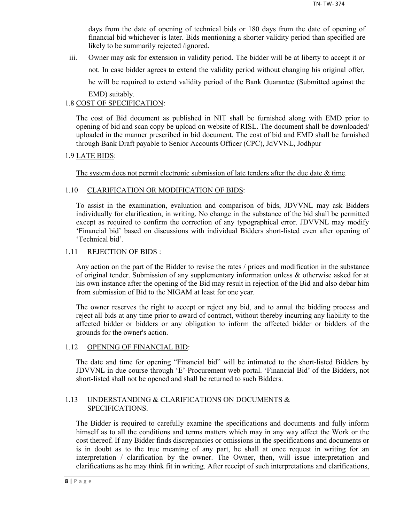days from the date of opening of technical bids or 180 days from the date of opening of financial bid whichever is later. Bids mentioning a shorter validity period than specified are likely to be summarily rejected /ignored.

iii. Owner may ask for extension in validity period. The bidder will be at liberty to accept it or not. In case bidder agrees to extend the validity period without changing his original offer, he will be required to extend validity period of the Bank Guarantee (Submitted against the EMD) suitably.

## 1.8 COST OF SPECIFICATION:

The cost of Bid document as published in NIT shall be furnished along with EMD prior to opening of bid and scan copy be upload on website of RISL. The document shall be downloaded/ uploaded in the manner prescribed in bid document. The cost of bid and EMD shall be furnished through Bank Draft payable to Senior Accounts Officer (CPC), JdVVNL, Jodhpur

## 1.9 LATE BIDS:

The system does not permit electronic submission of late tenders after the due date  $\&$  time.

## 1.10 CLARIFICATION OR MODIFICATION OF BIDS:

To assist in the examination, evaluation and comparison of bids, JDVVNL may ask Bidders individually for clarification, in writing. No change in the substance of the bid shall be permitted except as required to confirm the correction of any typographical error. JDVVNL may modify 'Financial bid' based on discussions with individual Bidders short-listed even after opening of 'Technical bid'.

## 1.11 REJECTION OF BIDS :

Any action on the part of the Bidder to revise the rates / prices and modification in the substance of original tender. Submission of any supplementary information unless & otherwise asked for at his own instance after the opening of the Bid may result in rejection of the Bid and also debar him from submission of Bid to the NIGAM at least for one year.

The owner reserves the right to accept or reject any bid, and to annul the bidding process and reject all bids at any time prior to award of contract, without thereby incurring any liability to the affected bidder or bidders or any obligation to inform the affected bidder or bidders of the grounds for the owner's action.

## 1.12 OPENING OF FINANCIAL BID:

The date and time for opening "Financial bid" will be intimated to the short-listed Bidders by JDVVNL in due course through 'E'-Procurement web portal. 'Financial Bid' of the Bidders, not short-listed shall not be opened and shall be returned to such Bidders.

## 1.13 UNDERSTANDING & CLARIFICATIONS ON DOCUMENTS & SPECIFICATIONS.

The Bidder is required to carefully examine the specifications and documents and fully inform himself as to all the conditions and terms matters which may in any way affect the Work or the cost thereof. If any Bidder finds discrepancies or omissions in the specifications and documents or is in doubt as to the true meaning of any part, he shall at once request in writing for an interpretation / clarification by the owner. The Owner, then, will issue interpretation and clarifications as he may think fit in writing. After receipt of such interpretations and clarifications,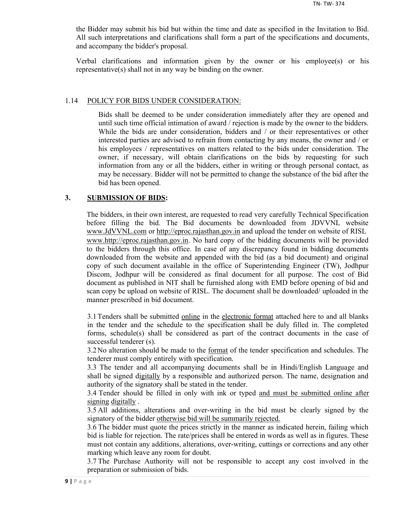the Bidder may submit his bid but within the time and date as specified in the Invitation to Bid. All such interpretations and clarifications shall form a part of the specifications and documents, and accompany the bidder's proposal.

Verbal clarifications and information given by the owner or his employee(s) or his representative(s) shall not in any way be binding on the owner.

#### 1.14 POLICY FOR BIDS UNDER CONSIDERATION:

Bids shall be deemed to be under consideration immediately after they are opened and until such time official intimation of award / rejection is made by the owner to the bidders. While the bids are under consideration, bidders and / or their representatives or other interested parties are advised to refrain from contacting by any means, the owner and / or his employees / representatives on matters related to the bids under consideration. The owner, if necessary, will obtain clarifications on the bids by requesting for such information from any or all the bidders, either in writing or through personal contact, as may be necessary. Bidder will not be permitted to change the substance of the bid after the bid has been opened.

## **3. SUBMISSION OF BIDS:**

The bidders, in their own interest, are requested to read very carefully Technical Specification before filling the bid. The Bid documents be downloaded from JDVVNL website www.JdVVNL.com or http://eproc.rajasthan.gov.in and upload the tender on website of RISL www.http://eproc.rajasthan.gov.in. No hard copy of the bidding documents will be provided to the bidders through this office. In case of any discrepancy found in bidding documents downloaded from the website and appended with the bid (as a bid document) and original copy of such document available in the office of Superintending Engineer (TW), Jodhpur Discom, Jodhpur will be considered as final document for all purpose. The cost of Bid document as published in NIT shall be furnished along with EMD before opening of bid and scan copy be upload on website of RISL. The document shall be downloaded/ uploaded in the manner prescribed in bid document.

3.1 Tenders shall be submitted online in the electronic format attached here to and all blanks in the tender and the schedule to the specification shall be duly filled in. The completed forms, schedule(s) shall be considered as part of the contract documents in the case of successful tenderer (s).

3.2 No alteration should be made to the <u>format</u> of the tender specification and schedules. The tenderer must comply entirely with specification.

3.3 The tender and all accompanying documents shall be in Hindi/English Language and shall be signed digitally by a responsible and authorized person. The name, designation and authority of the signatory shall be stated in the tender.

3.4 Tender should be filled in only with ink or typed and must be submitted online after signing digitally .

3.5 All additions, alterations and over-writing in the bid must be clearly signed by the signatory of the bidder otherwise bid will be summarily rejected.

3.6 The bidder must quote the prices strictly in the manner as indicated herein, failing which bid is liable for rejection. The rate/prices shall be entered in words as well as in figures. These must not contain any additions, alterations, over-writing, cuttings or corrections and any other marking which leave any room for doubt.

3.7 The Purchase Authority will not be responsible to accept any cost involved in the preparation or submission of bids.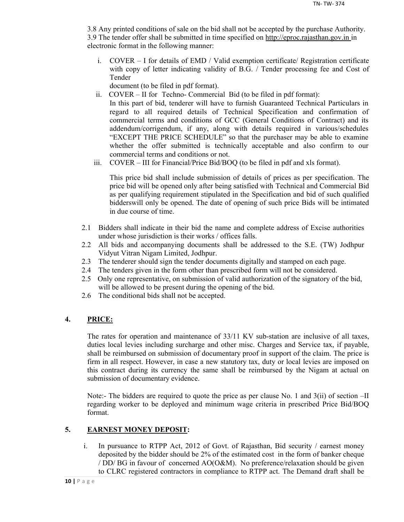3.8 Any printed conditions of sale on the bid shall not be accepted by the purchase Authority. 3.9 The tender offer shall be submitted in time specified on http://eproc.rajasthan.gov.in in electronic format in the following manner:

i. COVER – I for details of EMD / Valid exemption certificate/ Registration certificate with copy of letter indicating validity of B.G. / Tender processing fee and Cost of Tender

document (to be filed in pdf format).

- ii. COVER II for Techno- Commercial Bid (to be filed in pdf format): In this part of bid, tenderer will have to furnish Guaranteed Technical Particulars in regard to all required details of Technical Specification and confirmation of commercial terms and conditions of GCC (General Conditions of Contract) and its addendum/corrigendum, if any, along with details required in various/schedules "EXCEPT THE PRICE SCHEDULE" so that the purchaser may be able to examine whether the offer submitted is technically acceptable and also confirm to our commercial terms and conditions or not.
- iii. COVER III for Financial/Price Bid/BOQ (to be filed in pdf and xls format).

This price bid shall include submission of details of prices as per specification. The price bid will be opened only after being satisfied with Technical and Commercial Bid as per qualifying requirement stipulated in the Specification and bid of such qualified bidderswill only be opened. The date of opening of such price Bids will be intimated in due course of time.

- 2.1 Bidders shall indicate in their bid the name and complete address of Excise authorities under whose jurisdiction is their works / offices falls.
- 2.2 All bids and accompanying documents shall be addressed to the S.E. (TW) Jodhpur Vidyut Vitran Nigam Limited, Jodhpur.
- 2.3 The tenderer should sign the tender documents digitally and stamped on each page.
- 2.4 The tenders given in the form other than prescribed form will not be considered.
- 2.5 Only one representative, on submission of valid authorization of the signatory of the bid, will be allowed to be present during the opening of the bid.
- 2.6 The conditional bids shall not be accepted.

## **4. PRICE:**

The rates for operation and maintenance of 33/11 KV sub-station are inclusive of all taxes, duties local levies including surcharge and other misc. Charges and Service tax, if payable, shall be reimbursed on submission of documentary proof in support of the claim. The price is firm in all respect. However, in case a new statutory tax, duty or local levies are imposed on this contract during its currency the same shall be reimbursed by the Nigam at actual on submission of documentary evidence.

Note:- The bidders are required to quote the price as per clause No. 1 and 3(ii) of section –II regarding worker to be deployed and minimum wage criteria in prescribed Price Bid/BOQ format.

## **5. EARNEST MONEY DEPOSIT:**

i. In pursuance to RTPP Act, 2012 of Govt. of Rajasthan, Bid security / earnest money deposited by the bidder should be 2% of the estimated cost in the form of banker cheque / DD/ BG in favour of concerned AO(O&M). No preference/relaxation should be given to CLRC registered contractors in compliance to RTPP act. The Demand draft shall be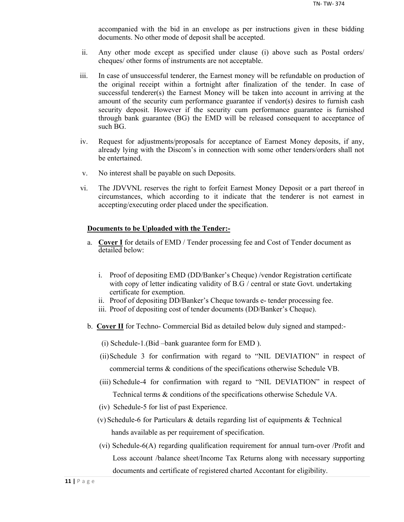accompanied with the bid in an envelope as per instructions given in these bidding documents. No other mode of deposit shall be accepted.

- ii. Any other mode except as specified under clause (i) above such as Postal orders/ cheques/ other forms of instruments are not acceptable.
- iii. In case of unsuccessful tenderer, the Earnest money will be refundable on production of the original receipt within a fortnight after finalization of the tender. In case of successful tenderer(s) the Earnest Money will be taken into account in arriving at the amount of the security cum performance guarantee if vendor(s) desires to furnish cash security deposit. However if the security cum performance guarantee is furnished through bank guarantee (BG) the EMD will be released consequent to acceptance of such BG.
- iv. Request for adjustments/proposals for acceptance of Earnest Money deposits, if any, already lying with the Discom's in connection with some other tenders/orders shall not be entertained.
- v. No interest shall be payable on such Deposits.
- vi. The JDVVNL reserves the right to forfeit Earnest Money Deposit or a part thereof in circumstances, which according to it indicate that the tenderer is not earnest in accepting/executing order placed under the specification.

## **Documents to be Uploaded with the Tender:-**

- a. **Cover I** for details of EMD / Tender processing fee and Cost of Tender document as detailed below:
	- i. Proof of depositing EMD (DD/Banker's Cheque) /vendor Registration certificate with copy of letter indicating validity of B.G / central or state Govt. undertaking certificate for exemption.
	- ii. Proof of depositing DD/Banker's Cheque towards e- tender processing fee.
	- iii. Proof of depositing cost of tender documents (DD/Banker's Cheque).
- b. **Cover II** for Techno- Commercial Bid as detailed below duly signed and stamped:-
	- (i) Schedule-1.(Bid –bank guarantee form for EMD ).
	- (ii)Schedule 3 for confirmation with regard to "NIL DEVIATION" in respect of commercial terms & conditions of the specifications otherwise Schedule VB.
	- (iii) Schedule-4 for confirmation with regard to "NIL DEVIATION" in respect of Technical terms & conditions of the specifications otherwise Schedule VA.
	- (iv) Schedule-5 for list of past Experience.
	- (v) Schedule-6 for Particulars & details regarding list of equipments & Technical hands available as per requirement of specification.
	- (vi) Schedule-6(A) regarding qualification requirement for annual turn-over /Profit and Loss account /balance sheet/Income Tax Returns along with necessary supporting documents and certificate of registered charted Accontant for eligibility.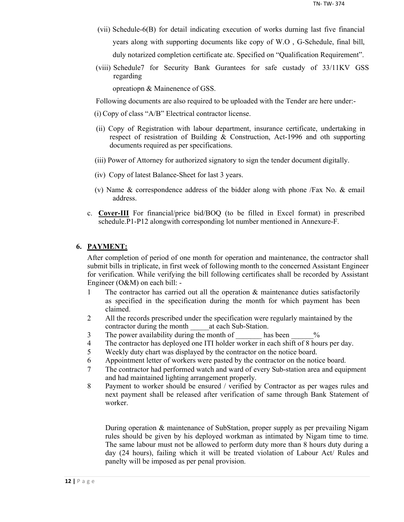- (vii) Schedule-6(B) for detail indicating execution of works durning last five financial years along with supporting documents like copy of W.O , G-Schedule, final bill, duly notarized completion certificate atc. Specified on "Qualification Requirement".
- (viii) Schedule7 for Security Bank Gurantees for safe custady of 33/11KV GSS regarding

opreatiopn & Mainenence of GSS.

Following documents are also required to be uploaded with the Tender are here under:-

- (i) Copy of class "A/B" Electrical contractor license.
- (ii) Copy of Registration with labour department, insurance certificate, undertaking in respect of resistration of Building & Construction, Act-1996 and oth supporting documents required as per specifications.
- (iii) Power of Attorney for authorized signatory to sign the tender document digitally.
- (iv) Copy of latest Balance-Sheet for last 3 years.
- (v) Name & correspondence address of the bidder along with phone /Fax No. & email address.
- c. **Cover-III** For financial/price bid/BOQ (to be filled in Excel format) in prescribed schedule.P1-P12 alongwith corresponding lot number mentioned in Annexure-F.

## **6. PAYMENT:**

After completion of period of one month for operation and maintenance, the contractor shall submit bills in triplicate, in first week of following month to the concerned Assistant Engineer for verification. While verifying the bill following certificates shall be recorded by Assistant Engineer (O&M) on each bill: -

- 1 The contractor has carried out all the operation & maintenance duties satisfactorily as specified in the specification during the month for which payment has been claimed.
- 2 All the records prescribed under the specification were regularly maintained by the contractor during the month at each Sub-Station.
- 3 The power availability during the month of has been  $\%$
- 4 The contractor has deployed one ITI holder worker in each shift of 8 hours per day.
- 5 Weekly duty chart was displayed by the contractor on the notice board.
- 6 Appointment letter of workers were pasted by the contractor on the notice board.
- 7 The contractor had performed watch and ward of every Sub-station area and equipment and had maintained lighting arrangement properly.
- 8 Payment to worker should be ensured / verified by Contractor as per wages rules and next payment shall be released after verification of same through Bank Statement of worker.

During operation & maintenance of SubStation, proper supply as per prevailing Nigam rules should be given by his deployed workman as intimated by Nigam time to time. The same labour must not be allowed to perform duty more than 8 hours duty during a day (24 hours), failing which it will be treated violation of Labour Act/ Rules and panelty will be imposed as per penal provision.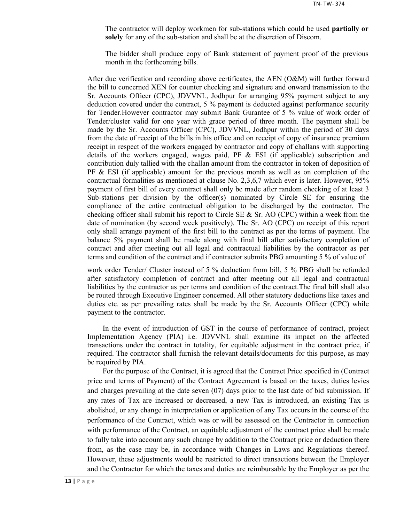The contractor will deploy workmen for sub-stations which could be used **partially or solely** for any of the sub-station and shall be at the discretion of Discom.

The bidder shall produce copy of Bank statement of payment proof of the previous month in the forthcoming bills.

After due verification and recording above certificates, the AEN (O&M) will further forward the bill to concerned XEN for counter checking and signature and onward transmission to the Sr. Accounts Officer (CPC), JDVVNL, Jodhpur for arranging 95% payment subject to any deduction covered under the contract, 5 % payment is deducted against performance security for Tender.However contractor may submit Bank Gurantee of 5 % value of work order of Tender/cluster valid for one year with grace period of three month. The payment shall be made by the Sr. Accounts Officer (CPC), JDVVNL, Jodhpur within the period of 30 days from the date of receipt of the bills in his office and on receipt of copy of insurance premium receipt in respect of the workers engaged by contractor and copy of challans with supporting details of the workers engaged, wages paid, PF  $\&$  ESI (if applicable) subscription and contribution duly tallied with the challan amount from the contractor in token of deposition of  $PF \& ESI$  (if applicable) amount for the previous month as well as on completion of the contractual formalities as mentioned at clause No. 2,3,6,7 which ever is later. However, 95% payment of first bill of every contract shall only be made after random checking of at least 3 Sub-stations per division by the officer(s) nominated by Circle SE for ensuring the compliance of the entire contractual obligation to be discharged by the contractor. The checking officer shall submit his report to Circle SE  $\&$  Sr. AO (CPC) within a week from the date of nomination (by second week positively). The Sr. AO (CPC) on receipt of this report only shall arrange payment of the first bill to the contract as per the terms of payment. The balance 5% payment shall be made along with final bill after satisfactory completion of contract and after meeting out all legal and contractual liabilities by the contractor as per terms and condition of the contract and if contractor submits PBG amounting 5 % of value of

work order Tender/ Cluster instead of 5 % deduction from bill, 5 % PBG shall be refunded after satisfactory completion of contract and after meeting out all legal and contractual liabilities by the contractor as per terms and condition of the contract.The final bill shall also be routed through Executive Engineer concerned. All other statutory deductions like taxes and duties etc. as per prevailing rates shall be made by the Sr. Accounts Officer (CPC) while payment to the contractor.

In the event of introduction of GST in the course of performance of contract, project Implementation Agency (PIA) i.e. JDVVNL shall examine its impact on the affected transactions under the contract in totality, for equitable adjustment in the contract price, if required. The contractor shall furnish the relevant details/documents for this purpose, as may be required by PIA.

For the purpose of the Contract, it is agreed that the Contract Price specified in (Contract price and terms of Payment) of the Contract Agreement is based on the taxes, duties levies and charges prevailing at the date seven (07) days prior to the last date of bid submission. If any rates of Tax are increased or decreased, a new Tax is introduced, an existing Tax is abolished, or any change in interpretation or application of any Tax occurs in the course of the performance of the Contract, which was or will be assessed on the Contractor in connection with performance of the Contract, an equitable adjustment of the contract price shall be made to fully take into account any such change by addition to the Contract price or deduction there from, as the case may be, in accordance with Changes in Laws and Regulations thereof. However, these adjustments would be restricted to direct transactions between the Employer and the Contractor for which the taxes and duties are reimbursable by the Employer as per the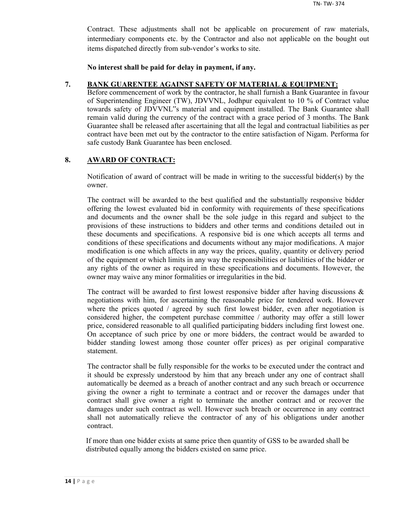Contract. These adjustments shall not be applicable on procurement of raw materials, intermediary components etc. by the Contractor and also not applicable on the bought out items dispatched directly from sub-vendor's works to site.

**No interest shall be paid for delay in payment, if any.**

## **7. BANK GUARENTEE AGAINST SAFETY OF MATERIAL & EQUIPMENT:**

Before commencement of work by the contractor, he shall furnish a Bank Guarantee in favour of Superintending Engineer (TW), JDVVNL, Jodhpur equivalent to 10 % of Contract value towards safety of JDVVNL"s material and equipment installed. The Bank Guarantee shall remain valid during the currency of the contract with a grace period of 3 months. The Bank Guarantee shall be released after ascertaining that all the legal and contractual liabilities as per contract have been met out by the contractor to the entire satisfaction of Nigam. Performa for safe custody Bank Guarantee has been enclosed.

## **8. AWARD OF CONTRACT:**

Notification of award of contract will be made in writing to the successful bidder(s) by the owner.

The contract will be awarded to the best qualified and the substantially responsive bidder offering the lowest evaluated bid in conformity with requirements of these specifications and documents and the owner shall be the sole judge in this regard and subject to the provisions of these instructions to bidders and other terms and conditions detailed out in these documents and specifications. A responsive bid is one which accepts all terms and conditions of these specifications and documents without any major modifications. A major modification is one which affects in any way the prices, quality, quantity or delivery period of the equipment or which limits in any way the responsibilities or liabilities of the bidder or any rights of the owner as required in these specifications and documents. However, the owner may waive any minor formalities or irregularities in the bid.

The contract will be awarded to first lowest responsive bidder after having discussions  $\&$ negotiations with him, for ascertaining the reasonable price for tendered work. However where the prices quoted / agreed by such first lowest bidder, even after negotiation is considered higher, the competent purchase committee / authority may offer a still lower price, considered reasonable to all qualified participating bidders including first lowest one. On acceptance of such price by one or more bidders, the contract would be awarded to bidder standing lowest among those counter offer prices) as per original comparative statement.

The contractor shall be fully responsible for the works to be executed under the contract and it should be expressly understood by him that any breach under any one of contract shall automatically be deemed as a breach of another contract and any such breach or occurrence giving the owner a right to terminate a contract and or recover the damages under that contract shall give owner a right to terminate the another contract and or recover the damages under such contract as well. However such breach or occurrence in any contract shall not automatically relieve the contractor of any of his obligations under another contract.

If more than one bidder exists at same price then quantity of GSS to be awarded shall be distributed equally among the bidders existed on same price.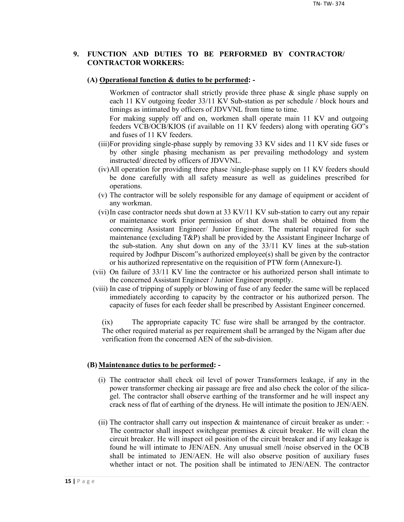## **9. FUNCTION AND DUTIES TO BE PERFORMED BY CONTRACTOR/ CONTRACTOR WORKERS:**

#### **(A) Operational function & duties to be performed: -**

Workmen of contractor shall strictly provide three phase & single phase supply on each 11 KV outgoing feeder 33/11 KV Sub-station as per schedule / block hours and timings as intimated by officers of JDVVNL from time to time.

For making supply off and on, workmen shall operate main 11 KV and outgoing feeders VCB/OCB/KIOS (if available on 11 KV feeders) along with operating GO"s and fuses of 11 KV feeders.

- (iii)For providing single-phase supply by removing 33 KV sides and 11 KV side fuses or by other single phasing mechanism as per prevailing methodology and system instructed/ directed by officers of JDVVNL.
- (iv)All operation for providing three phase /single-phase supply on 11 KV feeders should be done carefully with all safety measure as well as guidelines prescribed for operations.
- (v) The contractor will be solely responsible for any damage of equipment or accident of any workman.
- (vi)In case contractor needs shut down at 33 KV/11 KV sub-station to carry out any repair or maintenance work prior permission of shut down shall be obtained from the concerning Assistant Engineer/ Junior Engineer. The material required for such maintenance (excluding T&P) shall be provided by the Assistant Engineer Incharge of the sub-station. Any shut down on any of the 33/11 KV lines at the sub-station required by Jodhpur Discom"s authorized employee(s) shall be given by the contractor or his authorized representative on the requisition of PTW form (Annexure-I).
- (vii) On failure of 33/11 KV line the contractor or his authorized person shall intimate to the concerned Assistant Engineer / Junior Engineer promptly.
- (viii) In case of tripping of supply or blowing of fuse of any feeder the same will be replaced immediately according to capacity by the contractor or his authorized person. The capacity of fuses for each feeder shall be prescribed by Assistant Engineer concerned.

(ix) The appropriate capacity TC fuse wire shall be arranged by the contractor. The other required material as per requirement shall be arranged by the Nigam after due verification from the concerned AEN of the sub-division.

#### **(B) Maintenance duties to be performed: -**

- (i) The contractor shall check oil level of power Transformers leakage, if any in the power transformer checking air passage are free and also check the color of the silicagel. The contractor shall observe earthing of the transformer and he will inspect any crack ness of flat of earthing of the dryness. He will intimate the position to JEN/AEN.
- (ii) The contractor shall carry out inspection & maintenance of circuit breaker as under: The contractor shall inspect switchgear premises  $\&$  circuit breaker. He will clean the circuit breaker. He will inspect oil position of the circuit breaker and if any leakage is found he will intimate to JEN/AEN. Any unusual smell /noise observed in the OCB shall be intimated to JEN/AEN. He will also observe position of auxiliary fuses whether intact or not. The position shall be intimated to JEN/AEN. The contractor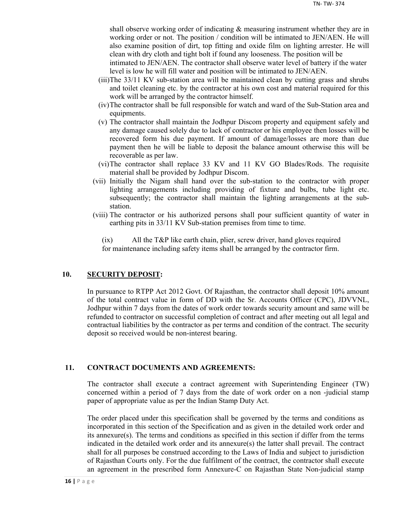shall observe working order of indicating & measuring instrument whether they are in working order or not. The position / condition will be intimated to JEN/AEN. He will also examine position of dirt, top fitting and oxide film on lighting arrester. He will clean with dry cloth and tight bolt if found any looseness. The position will be

intimated to JEN/AEN. The contractor shall observe water level of battery if the water level is low he will fill water and position will be intimated to JEN/AEN.

- (iii)The 33/11 KV sub-station area will be maintained clean by cutting grass and shrubs and toilet cleaning etc. by the contractor at his own cost and material required for this work will be arranged by the contractor himself.
- (iv)The contractor shall be full responsible for watch and ward of the Sub-Station area and equipments.
- (v) The contractor shall maintain the Jodhpur Discom property and equipment safely and any damage caused solely due to lack of contractor or his employee then losses will be recovered form his due payment. If amount of damage/losses are more than due payment then he will be liable to deposit the balance amount otherwise this will be recoverable as per law.
- (vi)The contractor shall replace 33 KV and 11 KV GO Blades/Rods. The requisite material shall be provided by Jodhpur Discom.
- (vii) Initially the Nigam shall hand over the sub-station to the contractor with proper lighting arrangements including providing of fixture and bulbs, tube light etc. subsequently; the contractor shall maintain the lighting arrangements at the substation.
- (viii) The contractor or his authorized persons shall pour sufficient quantity of water in earthing pits in 33/11 KV Sub-station premises from time to time.

(ix) All the T&P like earth chain, plier, screw driver, hand gloves required for maintenance including safety items shall be arranged by the contractor firm.

## **10. SECURITY DEPOSIT:**

In pursuance to RTPP Act 2012 Govt. Of Rajasthan, the contractor shall deposit 10% amount of the total contract value in form of DD with the Sr. Accounts Officer (CPC), JDVVNL, Jodhpur within 7 days from the dates of work order towards security amount and same will be refunded to contractor on successful completion of contract and after meeting out all legal and contractual liabilities by the contractor as per terms and condition of the contract. The security deposit so received would be non-interest bearing.

## **11. CONTRACT DOCUMENTS AND AGREEMENTS:**

The contractor shall execute a contract agreement with Superintending Engineer (TW) concerned within a period of 7 days from the date of work order on a non -judicial stamp paper of appropriate value as per the Indian Stamp Duty Act.

The order placed under this specification shall be governed by the terms and conditions as incorporated in this section of the Specification and as given in the detailed work order and its annexure(s). The terms and conditions as specified in this section if differ from the terms indicated in the detailed work order and its annexure(s) the latter shall prevail. The contract shall for all purposes be construed according to the Laws of India and subject to jurisdiction of Rajasthan Courts only. For the due fulfilment of the contract, the contractor shall execute an agreement in the prescribed form Annexure-C on Rajasthan State Non-judicial stamp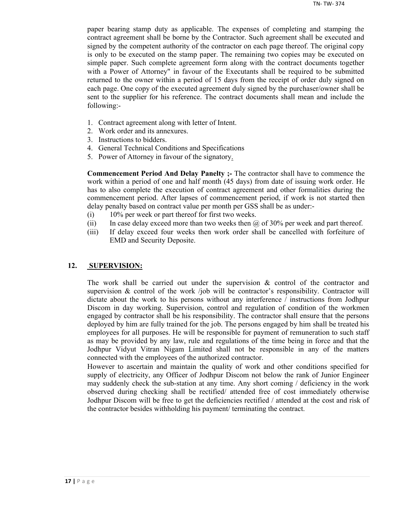paper bearing stamp duty as applicable. The expenses of completing and stamping the contract agreement shall be borne by the Contractor. Such agreement shall be executed and signed by the competent authority of the contractor on each page thereof. The original copy is only to be executed on the stamp paper. The remaining two copies may be executed on simple paper. Such complete agreement form along with the contract documents together with a Power of Attorney" in favour of the Executants shall be required to be submitted returned to the owner within a period of 15 days from the receipt of order duly signed on each page. One copy of the executed agreement duly signed by the purchaser/owner shall be sent to the supplier for his reference. The contract documents shall mean and include the following:-

- 1. Contract agreement along with letter of Intent.
- 2. Work order and its annexures.
- 3. Instructions to bidders.
- 4. General Technical Conditions and Specifications
- 5. Power of Attorney in favour of the signatory.

**Commencement Period And Delay Panelty ;-** The contractor shall have to commence the work within a period of one and half month (45 days) from date of issuing work order. He has to also complete the execution of contract agreement and other formalities during the commencement period. After lapses of commencement period, if work is not started then delay penalty based on contract value per month per GSS shall be as under:-

- (i) 10% per week or part thereof for first two weeks.
- (ii) In case delay exceed more than two weeks then  $\omega$  of 30% per week and part thereof.
- (iii) If delay exceed four weeks then work order shall be cancelled with forfeiture of EMD and Security Deposite.

## **12. SUPERVISION:**

The work shall be carried out under the supervision  $\&$  control of the contractor and supervision  $\&$  control of the work /job will be contractor's responsibility. Contractor will dictate about the work to his persons without any interference / instructions from Jodhpur Discom in day working. Supervision, control and regulation of condition of the workmen engaged by contractor shall be his responsibility. The contractor shall ensure that the persons deployed by him are fully trained for the job. The persons engaged by him shall be treated his employees for all purposes. He will be responsible for payment of remuneration to such staff as may be provided by any law, rule and regulations of the time being in force and that the Jodhpur Vidyut Vitran Nigam Limited shall not be responsible in any of the matters connected with the employees of the authorized contractor.

However to ascertain and maintain the quality of work and other conditions specified for supply of electricity, any Officer of Jodhpur Discom not below the rank of Junior Engineer may suddenly check the sub-station at any time. Any short coming / deficiency in the work observed during checking shall be rectified/ attended free of cost immediately otherwise Jodhpur Discom will be free to get the deficiencies rectified / attended at the cost and risk of the contractor besides withholding his payment/ terminating the contract.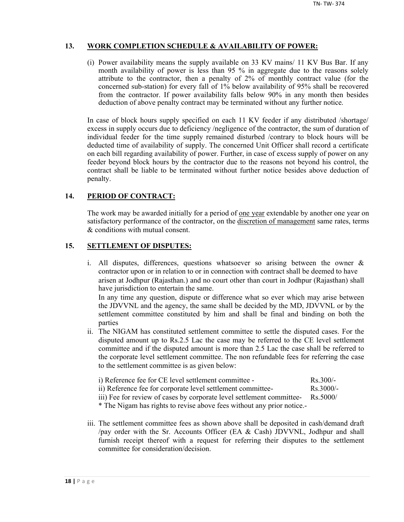## **13. WORK COMPLETION SCHEDULE & AVAILABILITY OF POWER:**

(i) Power availability means the supply available on 33 KV mains/ 11 KV Bus Bar. If any month availability of power is less than 95 % in aggregate due to the reasons solely attribute to the contractor, then a penalty of 2% of monthly contract value (for the concerned sub-station) for every fall of 1% below availability of 95% shall be recovered from the contractor. If power availability falls below 90% in any month then besides deduction of above penalty contract may be terminated without any further notice.

In case of block hours supply specified on each 11 KV feeder if any distributed /shortage/ excess in supply occurs due to deficiency /negligence of the contractor, the sum of duration of individual feeder for the time supply remained disturbed /contrary to block hours will be deducted time of availability of supply. The concerned Unit Officer shall record a certificate on each bill regarding availability of power. Further, in case of excess supply of power on any feeder beyond block hours by the contractor due to the reasons not beyond his control, the contract shall be liable to be terminated without further notice besides above deduction of penalty.

## **14. PERIOD OF CONTRACT:**

The work may be awarded initially for a period of <u>one year</u> extendable by another one year on satisfactory performance of the contractor, on the discretion of management same rates, terms & conditions with mutual consent.

## **15. SETTLEMENT OF DISPUTES:**

- i. All disputes, differences, questions whatsoever so arising between the owner & contractor upon or in relation to or in connection with contract shall be deemed to have arisen at Jodhpur (Rajasthan.) and no court other than court in Jodhpur (Rajasthan) shall have jurisdiction to entertain the same. In any time any question, dispute or difference what so ever which may arise between the JDVVNL and the agency, the same shall be decided by the MD, JDVVNL or by the settlement committee constituted by him and shall be final and binding on both the parties
- ii. The NIGAM has constituted settlement committee to settle the disputed cases. For the disputed amount up to Rs.2.5 Lac the case may be referred to the CE level settlement committee and if the disputed amount is more than 2.5 Lac the case shall be referred to the corporate level settlement committee. The non refundable fees for referring the case to the settlement committee is as given below:

| i) Reference fee for CE level settlement committee -        | $Rs$ 300/-          |
|-------------------------------------------------------------|---------------------|
| ii) Reference fee for corporate level settlement committee- | $\text{Rs } 3000/-$ |

iii) Fee for review of cases by corporate level settlement committee- Rs.5000/

\* The Nigam has rights to revise above fees without any prior notice.-

iii. The settlement committee fees as shown above shall be deposited in cash/demand draft /pay order with the Sr. Accounts Officer (EA & Cash) JDVVNL, Jodhpur and shall furnish receipt thereof with a request for referring their disputes to the settlement committee for consideration/decision.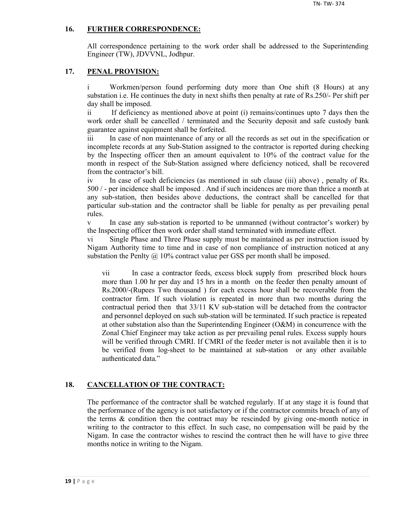## **16. FURTHER CORRESPONDENCE:**

All correspondence pertaining to the work order shall be addressed to the Superintending Engineer (TW), JDVVNL, Jodhpur.

## **17. PENAL PROVISION:**

i Workmen/person found performing duty more than One shift (8 Hours) at any substation i.e. He continues the duty in next shifts then penalty at rate of Rs.250/- Per shift per day shall be imposed.

ii If deficiency as mentioned above at point (i) remains/continues upto 7 days then the work order shall be cancelled / terminated and the Security deposit and safe custody bank guarantee against equipment shall be forfeited.

iii In case of non maintenance of any or all the records as set out in the specification or incomplete records at any Sub-Station assigned to the contractor is reported during checking by the Inspecting officer then an amount equivalent to 10% of the contract value for the month in respect of the Sub-Station assigned where deficiency noticed, shall be recovered from the contractor's bill.

iv In case of such deficiencies (as mentioned in sub clause (iii) above) , penalty of Rs. 500 / - per incidence shall be imposed . And if such incidences are more than thrice a month at any sub-station, then besides above deductions, the contract shall be cancelled for that particular sub-station and the contractor shall be liable for penalty as per prevailing penal rules.

v In case any sub-station is reported to be unmanned (without contractor's worker) by the Inspecting officer then work order shall stand terminated with immediate effect.

vi Single Phase and Three Phase supply must be maintained as per instruction issued by Nigam Authority time to time and in case of non compliance of instruction noticed at any substation the Penlty  $\omega$  10% contract value per GSS per month shall be imposed.

vii In case a contractor feeds, excess block supply from prescribed block hours more than 1.00 hr per day and 15 hrs in a month on the feeder then penalty amount of Rs.2000/-(Rupees Two thousand ) for each excess hour shall be recoverable from the contractor firm. If such violation is repeated in more than two months during the contractual period then that 33/11 KV sub-station will be detached from the contractor and personnel deployed on such sub-station will be terminated. If such practice is repeated at other substation also than the Superintending Engineer (O&M) in concurrence with the Zonal Chief Engineer may take action as per prevailing penal rules. Excess supply hours will be verified through CMRI. If CMRI of the feeder meter is not available then it is to be verified from log-sheet to be maintained at sub-station or any other available authenticated data."

## **18. CANCELLATION OF THE CONTRACT:**

The performance of the contractor shall be watched regularly. If at any stage it is found that the performance of the agency is not satisfactory or if the contractor commits breach of any of the terms  $\&$  condition then the contract may be rescinded by giving one-month notice in writing to the contractor to this effect. In such case, no compensation will be paid by the Nigam. In case the contractor wishes to rescind the contract then he will have to give three months notice in writing to the Nigam.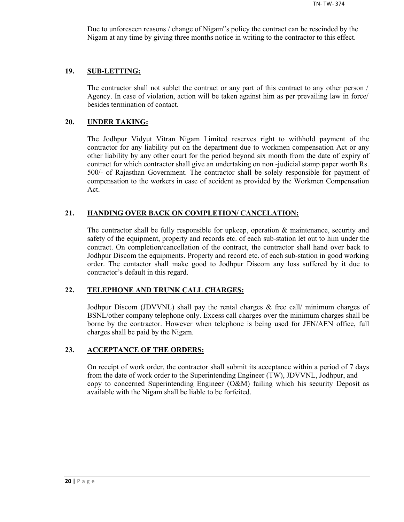Due to unforeseen reasons / change of Nigam"s policy the contract can be rescinded by the Nigam at any time by giving three months notice in writing to the contractor to this effect.

#### **19. SUB-LETTING:**

The contractor shall not sublet the contract or any part of this contract to any other person / Agency. In case of violation, action will be taken against him as per prevailing law in force/ besides termination of contact.

#### **20. UNDER TAKING:**

The Jodhpur Vidyut Vitran Nigam Limited reserves right to withhold payment of the contractor for any liability put on the department due to workmen compensation Act or any other liability by any other court for the period beyond six month from the date of expiry of contract for which contractor shall give an undertaking on non -judicial stamp paper worth Rs. 500/- of Rajasthan Government. The contractor shall be solely responsible for payment of compensation to the workers in case of accident as provided by the Workmen Compensation Act.

## **21. HANDING OVER BACK ON COMPLETION/ CANCELATION:**

The contractor shall be fully responsible for upkeep, operation & maintenance, security and safety of the equipment, property and records etc. of each sub-station let out to him under the contract. On completion/cancellation of the contract, the contractor shall hand over back to Jodhpur Discom the equipments. Property and record etc. of each sub-station in good working order. The contactor shall make good to Jodhpur Discom any loss suffered by it due to contractor's default in this regard.

## **22. TELEPHONE AND TRUNK CALL CHARGES:**

Jodhpur Discom (JDVVNL) shall pay the rental charges & free call/ minimum charges of BSNL/other company telephone only. Excess call charges over the minimum charges shall be borne by the contractor. However when telephone is being used for JEN/AEN office, full charges shall be paid by the Nigam.

#### **23. ACCEPTANCE OF THE ORDERS:**

On receipt of work order, the contractor shall submit its acceptance within a period of 7 days from the date of work order to the Superintending Engineer (TW), JDVVNL, Jodhpur, and copy to concerned Superintending Engineer (O&M) failing which his security Deposit as available with the Nigam shall be liable to be forfeited.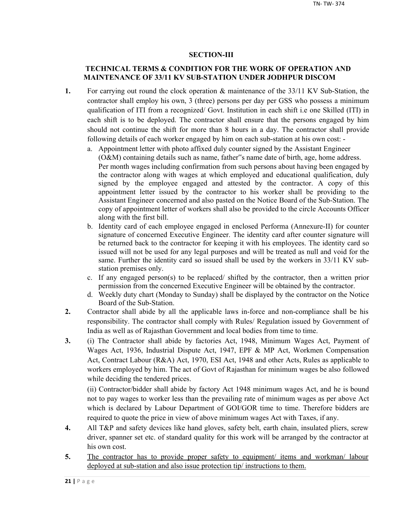## **SECTION-III**

## **TECHNICAL TERMS & CONDITION FOR THE WORK OF OPERATION AND MAINTENANCE OF 33/11 KV SUB-STATION UNDER JODHPUR DISCOM**

- **1.** For carrying out round the clock operation & maintenance of the 33/11 KV Sub-Station, the contractor shall employ his own, 3 (three) persons per day per GSS who possess a minimum qualification of ITI from a recognized/ Govt. Institution in each shift i.e one Skilled (ITI) in each shift is to be deployed. The contractor shall ensure that the persons engaged by him should not continue the shift for more than 8 hours in a day. The contractor shall provide following details of each worker engaged by him on each sub-station at his own cost:
	- a. Appointment letter with photo affixed duly counter signed by the Assistant Engineer (O&M) containing details such as name, father"s name date of birth, age, home address. Per month wages including confirmation from such persons about having been engaged by the contractor along with wages at which employed and educational qualification, duly signed by the employee engaged and attested by the contractor. A copy of this appointment letter issued by the contractor to his worker shall be providing to the Assistant Engineer concerned and also pasted on the Notice Board of the Sub-Station. The copy of appointment letter of workers shall also be provided to the circle Accounts Officer along with the first bill.
	- b. Identity card of each employee engaged in enclosed Performa (Annexure-II) for counter signature of concerned Executive Engineer. The identity card after counter signature will be returned back to the contractor for keeping it with his employees. The identity card so issued will not be used for any legal purposes and will be treated as null and void for the same. Further the identity card so issued shall be used by the workers in 33/11 KV substation premises only.
	- c. If any engaged person(s) to be replaced/ shifted by the contractor, then a written prior permission from the concerned Executive Engineer will be obtained by the contractor.
	- d. Weekly duty chart (Monday to Sunday) shall be displayed by the contractor on the Notice Board of the Sub-Station.
- **2.** Contractor shall abide by all the applicable laws in-force and non-compliance shall be his responsibility. The contractor shall comply with Rules/ Regulation issued by Government of India as well as of Rajasthan Government and local bodies from time to time.
- **3.** (i) The Contractor shall abide by factories Act, 1948, Minimum Wages Act, Payment of Wages Act, 1936, Industrial Dispute Act, 1947, EPF & MP Act, Workmen Compensation Act, Contract Labour (R&A) Act, 1970, ESI Act, 1948 and other Acts, Rules as applicable to workers employed by him. The act of Govt of Rajasthan for minimum wages be also followed while deciding the tendered prices.

(ii) Contractor/bidder shall abide by factory Act 1948 minimum wages Act, and he is bound not to pay wages to worker less than the prevailing rate of minimum wages as per above Act which is declared by Labour Department of GOI/GOR time to time. Therefore bidders are required to quote the price in view of above minimum wages Act with Taxes, if any.

- **4.** All T&P and safety devices like hand gloves, safety belt, earth chain, insulated pliers, screw driver, spanner set etc. of standard quality for this work will be arranged by the contractor at his own cost.
- 5. The contractor has to provide proper safety to equipment/ items and workman/ labour deployed at sub-station and also issue protection tip/ instructions to them.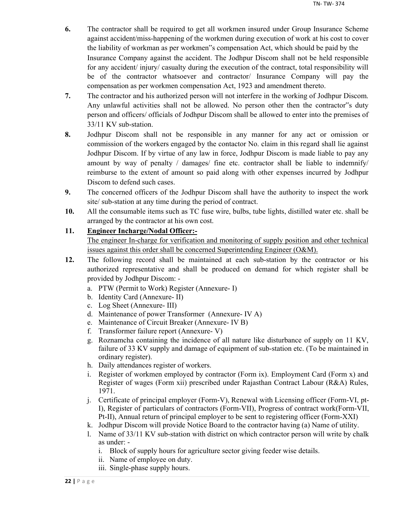- **6.** The contractor shall be required to get all workmen insured under Group Insurance Scheme against accident/miss-happening of the workmen during execution of work at his cost to cover the liability of workman as per workmen"s compensation Act, which should be paid by the Insurance Company against the accident. The Jodhpur Discom shall not be held responsible for any accident/ injury/ casualty during the execution of the contract, total responsibility will be of the contractor whatsoever and contractor/ Insurance Company will pay the compensation as per workmen compensation Act, 1923 and amendment thereto.
- **7.** The contractor and his authorized person will not interfere in the working of Jodhpur Discom. Any unlawful activities shall not be allowed. No person other then the contractor"s duty person and officers/ officials of Jodhpur Discom shall be allowed to enter into the premises of 33/11 KV sub-station.
- **8.** Jodhpur Discom shall not be responsible in any manner for any act or omission or commission of the workers engaged by the contactor No. claim in this regard shall lie against Jodhpur Discom. If by virtue of any law in force, Jodhpur Discom is made liable to pay any amount by way of penalty / damages/ fine etc. contractor shall be liable to indemnify/ reimburse to the extent of amount so paid along with other expenses incurred by Jodhpur Discom to defend such cases.
- **9.** The concerned officers of the Jodhpur Discom shall have the authority to inspect the work site/ sub-station at any time during the period of contract.
- **10.** All the consumable items such as TC fuse wire, bulbs, tube lights, distilled water etc. shall be arranged by the contractor at his own cost.

## **11. Engineer Incharge/Nodal Officer:-**

The engineer In-charge for verification and monitoring of supply position and other technical issues against this order shall be concerned Superintending Engineer (O&M).

- **12.** The following record shall be maintained at each sub-station by the contractor or his authorized representative and shall be produced on demand for which register shall be provided by Jodhpur Discom:
	- a. PTW (Permit to Work) Register (Annexure- I)
	- b. Identity Card (Annexure- II)
	- c. Log Sheet (Annexure- III)
	- d. Maintenance of power Transformer (Annexure- IV A)
	- e. Maintenance of Circuit Breaker (Annexure- IV B)
	- f. Transformer failure report (Annexure- V)
	- g. Roznamcha containing the incidence of all nature like disturbance of supply on 11 KV, failure of 33 KV supply and damage of equipment of sub-station etc. (To be maintained in ordinary register).
	- h. Daily attendances register of workers.
	- i. Register of workmen employed by contractor (Form ix). Employment Card (Form x) and Register of wages (Form xii) prescribed under Rajasthan Contract Labour (R&A) Rules, 1971.
	- j. Certificate of principal employer (Form-V), Renewal with Licensing officer (Form-VI, pt-I), Register of particulars of contractors (Form-VII), Progress of contract work(Form-VII, Pt-II), Annual return of principal employer to be sent to registering officer (Form-XXI)
	- k. Jodhpur Discom will provide Notice Board to the contractor having (a) Name of utility.
	- l. Name of 33/11 KV sub-station with district on which contractor person will write by chalk as under:
		- i. Block of supply hours for agriculture sector giving feeder wise details.
		- ii. Name of employee on duty.
		- iii. Single-phase supply hours.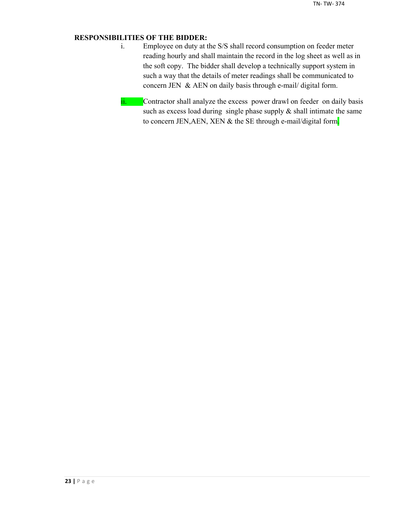## **RESPONSIBILITIES OF THE BIDDER:**

- i. Employee on duty at the S/S shall record consumption on feeder meter reading hourly and shall maintain the record in the log sheet as well as in the soft copy. The bidder shall develop a technically support system in such a way that the details of meter readings shall be communicated to concern JEN & AEN on daily basis through e-mail/ digital form.
- ii. Contractor shall analyze the excess power drawl on feeder on daily basis such as excess load during single phase supply  $\&$  shall intimate the same to concern JEN, AEN, XEN & the SE through e-mail/digital form.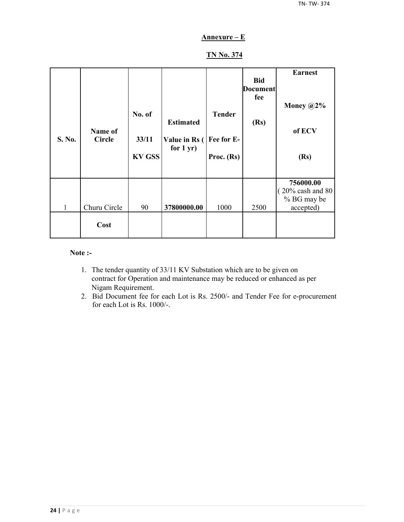## **Annexure – E**

## **TN No. 374**

| S. No. | Name of<br><b>Circle</b> | No. of<br>33/11<br><b>KV GSS</b> | <b>Estimated</b><br>Value in Rs (<br>for $1 yr$ ) | <b>Tender</b><br>Fee for E-<br>Proc. (Rs) | <b>Bid</b><br><b>Document</b><br>fee<br>(Rs) | <b>Earnest</b><br>Money $@2\%$<br>of ECV<br>(Rs)                       |
|--------|--------------------------|----------------------------------|---------------------------------------------------|-------------------------------------------|----------------------------------------------|------------------------------------------------------------------------|
| 1      | Churu Circle             | 90                               | 37800000.00                                       | 1000                                      | 2500                                         | 756000.00<br>$(20\% \text{ cash and } 80)$<br>% BG may be<br>accepted) |
|        | Cost                     |                                  |                                                   |                                           |                                              |                                                                        |

## **Note :-**

- 1. The tender quantity of 33/11 KV Substation which are to be given on contract for Operation and maintenance may be reduced or enhanced as per Nigam Requirement.
- 2. Bid Document fee for each Lot is Rs. 2500/- and Tender Fee for e-procurement for each Lot is Rs. 1000/-.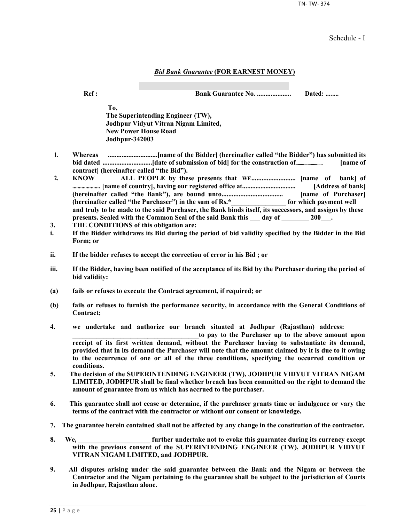TN- TW- 374

Schedule - I

#### *Bid Bank Guarantee* **(FOR EARNEST MONEY)**

**Ref : Bank Guarantee No. .................... Dated: ........**

**To, The Superintending Engineer (TW), Jodhpur Vidyut Vitran Nigam Limited, New Power House Road Jodhpur-342003**

- **1. Whereas .............................[name of the Bidder] (hereinafter called "the Bidder") has submitted its bid dated .............................[date of submission of bid] for the construction of......................... [name of contract] (hereinafter called "the Bid").**
- **2. KNOW ALL PEOPLE by these presents that WE.......................... [name of bank] of ..................... [name of country], having our registered office at................................ [Address of bank] (hereinafter called "the Bank"), are bound unto.................................... [name of Purchaser] (hereinafter called "the Purchaser") in the sum of Rs.\*\_\_\_\_\_\_\_\_\_\_\_\_\_\_\_\_ for which payment well and truly to be made to the said Purchaser, the Bank binds itself, its successors, and assigns by these**  presents. Sealed with the Common Seal of the said Bank this \_\_\_ day of \_\_\_\_\_\_\_ 200\_\_\_.
- **3. THE CONDITIONS of this obligation are:**
- **i. If the Bidder withdraws its Bid during the period of bid validity specified by the Bidder in the Bid Form; or**
- **ii. If the bidder refuses to accept the correction of error in his Bid ; or**
- **iii. If the Bidder, having been notified of the acceptance of its Bid by the Purchaser during the period of bid validity:**
- **(a) fails or refuses to execute the Contract agreement, if required; or**
- **(b) fails or refuses to furnish the performance security, in accordance with the General Conditions of Contract;**
- **4. we undertake and authorize our branch situated at Jodhpur (Rajasthan) address:**

to pay to the Purchaser up to the above amount upon **receipt of its first written demand, without the Purchaser having to substantiate its demand, provided that in its demand the Purchaser will note that the amount claimed by it is due to it owing to the occurrence of one or all of the three conditions, specifying the occurred condition or conditions.**

- **5. The decision of the SUPERINTENDING ENGINEER (TW), JODHPUR VIDYUT VITRAN NIGAM LIMITED, JODHPUR shall be final whether breach has been committed on the right to demand the amount of guarantee from us which has accrued to the purchaser.**
- **6. This guarantee shall not cease or determine, if the purchaser grants time or indulgence or vary the terms of the contract with the contractor or without our consent or knowledge.**
- **7. The guarantee herein contained shall not be affected by any change in the constitution of the contractor.**
- **8. We, \_\_\_\_\_\_\_\_\_\_\_\_\_\_\_\_\_\_\_\_\_ further undertake not to evoke this guarantee during its currency except with the previous consent of the SUPERINTENDING ENGINEER (TW), JODHPUR VIDYUT VITRAN NIGAM LIMITED, and JODHPUR.**
- **9. All disputes arising under the said guarantee between the Bank and the Nigam or between the Contractor and the Nigam pertaining to the guarantee shall be subject to the jurisdiction of Courts in Jodhpur, Rajasthan alone.**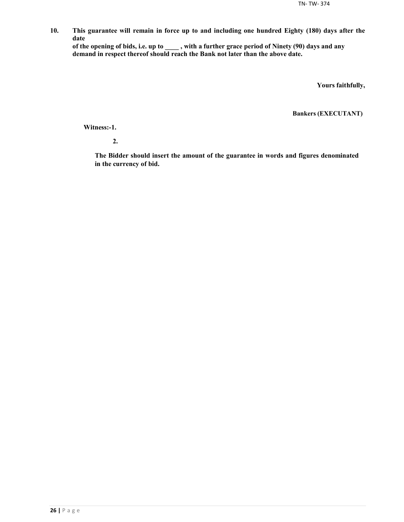**10. This guarantee will remain in force up to and including one hundred Eighty (180) days after the date**

**of the opening of bids, i.e. up to \_\_\_\_ , with a further grace period of Ninety (90) days and any demand in respect thereof should reach the Bank not later than the above date.**

**Yours faithfully,**

**Bankers (EXECUTANT)**

**Witness:-1.**

**2.**

**The Bidder should insert the amount of the guarantee in words and figures denominated in the currency of bid.**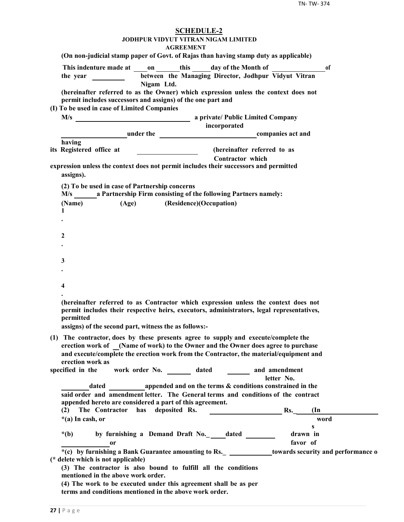| <b>SCHEDULE-2</b><br>JODHPUR VIDYUT VITRAN NIGAM LIMITED<br><b>AGREEMENT</b>                                                                                                                                                                                       |  |
|--------------------------------------------------------------------------------------------------------------------------------------------------------------------------------------------------------------------------------------------------------------------|--|
| (On non-judicial stamp paper of Govt. of Rajas than having stamp duty as applicable)                                                                                                                                                                               |  |
| This indenture made at on this day of the Month of<br>0f<br>between the Managing Director, Jodhpur Vidyut Vitran<br>the year $\qquad \qquad$<br>Nigam Ltd.                                                                                                         |  |
| (hereinafter referred to as the Owner) which expression unless the context does not<br>permit includes successors and assigns) of the one part and                                                                                                                 |  |
| (I) To be used in case of Limited Companies                                                                                                                                                                                                                        |  |
| incorporated                                                                                                                                                                                                                                                       |  |
| <b>Example 2018</b> under the <b>companies</b> act and                                                                                                                                                                                                             |  |
| having                                                                                                                                                                                                                                                             |  |
| its Registered office at<br>(hereinafter referred to as<br>Contractor which                                                                                                                                                                                        |  |
| expression unless the context does not permit includes their successors and permitted<br>assigns).                                                                                                                                                                 |  |
| (2) To be used in case of Partnership concerns<br>M/s a Partnership Firm consisting of the following Partners namely:                                                                                                                                              |  |
| (Age) (Residence)(Occupation)<br>(Name)                                                                                                                                                                                                                            |  |
| $\mathbf{1}$                                                                                                                                                                                                                                                       |  |
|                                                                                                                                                                                                                                                                    |  |
| 2                                                                                                                                                                                                                                                                  |  |
|                                                                                                                                                                                                                                                                    |  |
|                                                                                                                                                                                                                                                                    |  |
| 3                                                                                                                                                                                                                                                                  |  |
|                                                                                                                                                                                                                                                                    |  |
| 4                                                                                                                                                                                                                                                                  |  |
|                                                                                                                                                                                                                                                                    |  |
| (hereinafter referred to as Contractor which expression unless the context does not<br>permit includes their respective heirs, executors, administrators, legal representatives,<br><b>nermitted</b><br>assigns) of the second part, witness the as follows:-      |  |
|                                                                                                                                                                                                                                                                    |  |
| (1) The contractor, does by these presents agree to supply and execute/complete the<br>erection work of (Name of work) to the Owner and the Owner does agree to purchase<br>and execute/complete the erection work from the Contractor, the material/equipment and |  |
| erection work as                                                                                                                                                                                                                                                   |  |
| work order No. _________ dated _________ and amendment<br>specified in the<br>letter No.                                                                                                                                                                           |  |
| dated appended and on the terms & conditions constrained in the                                                                                                                                                                                                    |  |
| said order and amendment letter. The General terms and conditions of the contract                                                                                                                                                                                  |  |
| appended hereto are considered a part of this agreement.                                                                                                                                                                                                           |  |
| has deposited Rs.<br>Rs.<br>(2)<br>The Contractor<br>$(\text{In})$                                                                                                                                                                                                 |  |
| $*(a)$ In cash, or<br>word<br>S                                                                                                                                                                                                                                    |  |
| by furnishing a Demand Draft No.___dated ______<br>drawn in<br>$*(b)$                                                                                                                                                                                              |  |
| favor of<br>0r                                                                                                                                                                                                                                                     |  |
| *(c) by furnishing a Bank Guarantee amounting to Rs. _______________towards security and performance o<br>(* delete which is not applicable)                                                                                                                       |  |
| (3) The contractor is also bound to fulfill all the conditions<br>mentioned in the above work order.                                                                                                                                                               |  |
| (4) The work to be executed under this agreement shall be as per<br>terms and conditions mentioned in the above work order.                                                                                                                                        |  |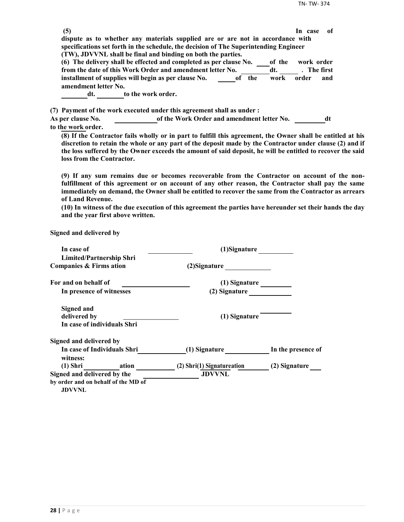| (5)                                                  |                                                                                                             | -of<br>In case |
|------------------------------------------------------|-------------------------------------------------------------------------------------------------------------|----------------|
|                                                      | dispute as to whether any materials supplied are or are not in accordance with                              |                |
|                                                      | specifications set forth in the schedule, the decision of The Superintending Engineer                       |                |
|                                                      | (TW), JDVVNL shall be final and binding on both the parties.                                                |                |
|                                                      | (6) The delivery shall be effected and completed as per clause No.<br>of the                                | work order     |
|                                                      | from the date of this Work Order and amendment letter No.<br>dt.                                            | . The first    |
| installment of supplies will begin as per clause No. | of the<br>work                                                                                              | order<br>and   |
| amendment letter No.                                 |                                                                                                             |                |
| dt.                                                  | to the work order.                                                                                          |                |
|                                                      | (7) Payment of the work executed under this agreement shall as under :                                      |                |
| <b>As per clause No.</b>                             | of the Work Order and amendment letter No.                                                                  | dt             |
| to the work order.                                   |                                                                                                             |                |
|                                                      | (8) If the Contractor fails wholly or in part to fulfill this agreement, the Owner shall be entitled at his |                |

**discretion to retain the whole or any part of the deposit made by the Contractor under clause (2) and if the loss suffered by the Owner exceeds the amount of said deposit, he will be entitled to recover the said loss from the Contractor.**

**(9) If any sum remains due or becomes recoverable from the Contractor on account of the nonfulfillment of this agreement or on account of any other reason, the Contractor shall pay the same immediately on demand, the Owner shall be entitled to recover the same from the Contractor as arrears of Land Revenue.**

**(10) In witness of the due execution of this agreement the parties have hereunder set their hands the day and the year first above written.**

**Signed and delivered by**

| In case of                                           | (1)Signature               |                    |
|------------------------------------------------------|----------------------------|--------------------|
| <b>Limited/Partnership Shri</b>                      |                            |                    |
| Companies & Firms ation                              | (2) Signature              |                    |
| For and on behalf of                                 | (1) Signature              |                    |
| In presence of witnesses                             | (2) Signature              |                    |
| <b>Signed and</b>                                    |                            |                    |
| delivered by                                         | (1) Signature              |                    |
| In case of individuals Shri                          |                            |                    |
| Signed and delivered by                              |                            |                    |
| In case of Individuals Shri<br>witness:              | (1) Signature              | In the presence of |
| (1) Shri ation                                       | (2) Shri(1) Signatureation | (2) Signature      |
| Signed and delivered by the                          | <b>JDVVNL</b>              |                    |
| by order and on behalf of the MD of<br><b>JDVVNL</b> |                            |                    |
|                                                      |                            |                    |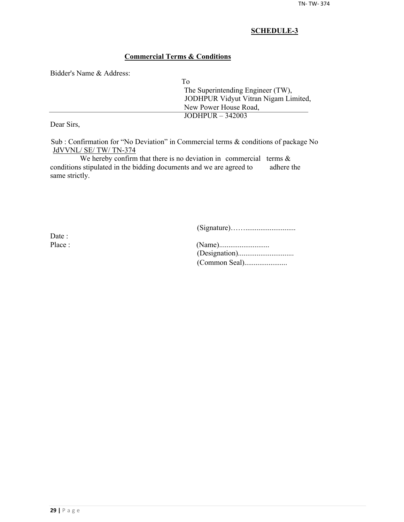## **Commercial Terms & Conditions**

Bidder's Name & Address:

| To                                   |
|--------------------------------------|
| The Superintending Engineer (TW),    |
| JODHPUR Vidyut Vitran Nigam Limited, |
| New Power House Road,                |
| JODHPUR $-342003$                    |
|                                      |

Dear Sirs,

Sub : Confirmation for "No Deviation" in Commercial terms & conditions of package No JdVVNL/ SE/ TW/ TN-374

We hereby confirm that there is no deviation in commercial terms  $\&$ conditions stipulated in the bidding documents and we are agreed to adhere the same strictly.

(Signature)……...........................

Date :

| Place : |  |
|---------|--|
|         |  |
|         |  |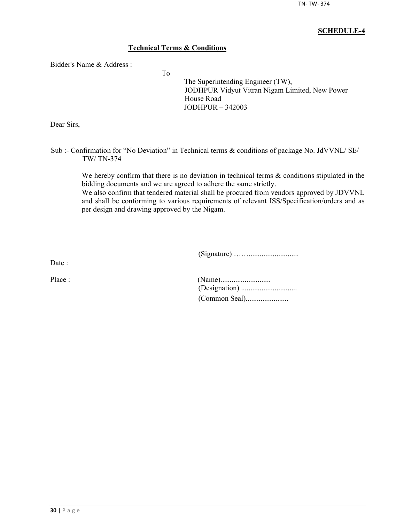## **Technical Terms & Conditions**

To

Bidder's Name & Address :

The Superintending Engineer (TW), JODHPUR Vidyut Vitran Nigam Limited, New Power House Road JODHPUR – 342003

Dear Sirs,

Sub :- Confirmation for "No Deviation" in Technical terms & conditions of package No. JdVVNL/ SE/ TW/ TN-374

We hereby confirm that there is no deviation in technical terms  $\&$  conditions stipulated in the bidding documents and we are agreed to adhere the same strictly.

We also confirm that tendered material shall be procured from vendors approved by JDVVNL and shall be conforming to various requirements of relevant ISS/Specification/orders and as per design and drawing approved by the Nigam.

(Signature) ……...........................

Date :

| Place : |  |
|---------|--|
|         |  |
|         |  |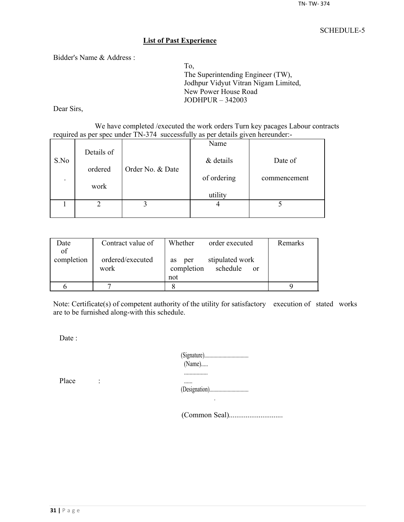#### **List of Past Experience**

Bidder's Name & Address :

To, The Superintending Engineer (TW), Jodhpur Vidyut Vitran Nigam Limited, New Power House Road JODHPUR – 342003

Dear Sirs,

We have completed /executed the work orders Turn key pacages Labour contracts required as per spec under TN-374 successfully as per details given hereunder:-

|                          |            |                  | Name        |              |
|--------------------------|------------|------------------|-------------|--------------|
| S.No                     | Details of |                  | & details   | Date of      |
|                          | ordered    | Order No. & Date |             |              |
| $\overline{\phantom{a}}$ |            |                  | of ordering | commencement |
|                          | work       |                  | utility     |              |
|                          |            |                  |             |              |
|                          |            |                  |             |              |

| Date       | Contract value of        | Whether<br>order executed                                     | Remarks |
|------------|--------------------------|---------------------------------------------------------------|---------|
| of         |                          |                                                               |         |
| completion | ordered/executed<br>work | stipulated work<br>per<br><b>as</b><br>completion<br>schedule |         |
|            |                          | <sub>or</sub><br>not                                          |         |
|            |                          |                                                               |         |
|            |                          |                                                               |         |

Note: Certificate(s) of competent authority of the utility for satisfactory execution of stated works are to be furnished along-with this schedule.

Date :

| $(Name)$ |
|----------|
|          |
|          |

Place :

(Common Seal).............................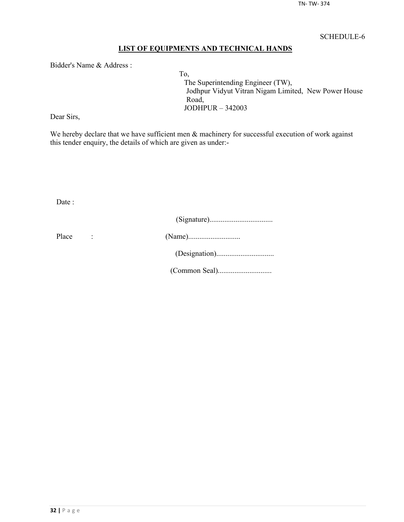## **LIST OF EQUIPMENTS AND TECHNICAL HANDS**

Bidder's Name & Address :

To, The Superintending Engineer (TW), Jodhpur Vidyut Vitran Nigam Limited, New Power House Road, JODHPUR – 342003

Dear Sirs,

We hereby declare that we have sufficient men  $\&$  machinery for successful execution of work against this tender enquiry, the details of which are given as under:-

Date :

| Place |  |
|-------|--|
|       |  |
|       |  |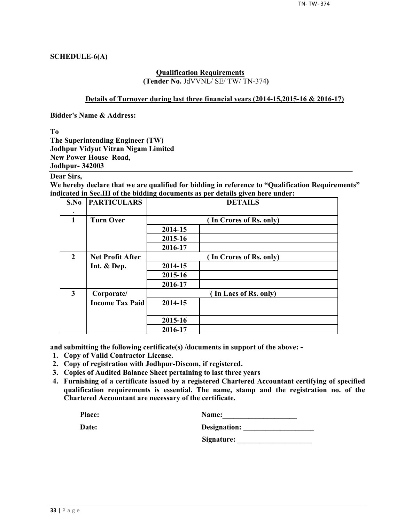## **SCHEDULE-6(A)**

#### **Qualification Requirements (Tender No.** JdVVNL/ SE/ TW/ TN-374**)**

#### **Details of Turnover during last three financial years (2014-15,2015-16 & 2016-17)**

**Bidder's Name & Address:**

**To**

**The Superintending Engineer (TW) Jodhpur Vidyut Vitran Nigam Limited New Power House Road, Jodhpur- 342003**

## **Dear Sirs,**

**We hereby declare that we are qualified for bidding in reference to "Qualification Requirements" indicated in Sec.III of the bidding documents as per details given here under:**

| S.No                    | <b>PARTICULARS</b>      | <b>DETAILS</b>          |                         |  |  |  |  |
|-------------------------|-------------------------|-------------------------|-------------------------|--|--|--|--|
| $\mathbf{1}$            | <b>Turn Over</b>        |                         | (In Crores of Rs. only) |  |  |  |  |
|                         |                         | 2014-15                 |                         |  |  |  |  |
|                         |                         | 2015-16                 |                         |  |  |  |  |
|                         |                         | 2016-17                 |                         |  |  |  |  |
| $\overline{2}$          | <b>Net Profit After</b> | (In Crores of Rs. only) |                         |  |  |  |  |
|                         | Int. & Dep.             | 2014-15                 |                         |  |  |  |  |
|                         |                         | 2015-16                 |                         |  |  |  |  |
|                         |                         | 2016-17                 |                         |  |  |  |  |
| $\overline{\mathbf{3}}$ | Corporate/              |                         | (In Lacs of Rs. only)   |  |  |  |  |
|                         | <b>Income Tax Paid</b>  | 2014-15                 |                         |  |  |  |  |
|                         |                         | 2015-16                 |                         |  |  |  |  |
|                         |                         | 2016-17                 |                         |  |  |  |  |

**and submitting the following certificate(s) /documents in support of the above: -**

- **1. Copy of Valid Contractor License.**
- **2. Copy of registration with Jodhpur-Discom, if registered.**
- **3. Copies of Audited Balance Sheet pertaining to last three years**
- **4. Furnishing of a certificate issued by a registered Chartered Accountant certifying of specified qualification requirements is essential. The name, stamp and the registration no. of the Chartered Accountant are necessary of the certificate.**

| Place: | <b>Name:</b> |
|--------|--------------|
|        |              |

| Date: | Designation: |
|-------|--------------|
|       |              |

**Signature: \_\_\_\_\_\_\_\_\_\_\_\_\_\_\_\_\_\_\_\_**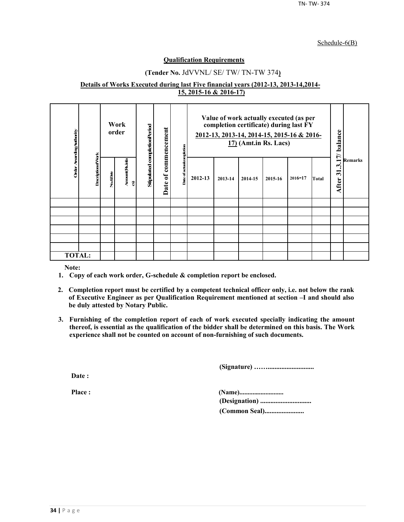#### Schedule-6(B)

#### **Qualification Requirements**

## **(Tender No.** JdVVNL/ SE/ TW/ TN-TW 374**)**

#### **Details of Works Executed during last Five financial years (2012-13, 2013-14,2014- 15, 2015-16 & 2016-17)**

| Order Awarding Authority |                          |          | Work<br>order        | Stipulated completionPeriod | commencement     | completion    | Value of work actually executed (as per<br>completion certificate) during last FY<br>2012-13, 2013-14, 2014-15, 2015-16 & 2016-<br>$17$ ) (Amt.in Rs. Lacs) |         |         | 17/balance |             |       |                                                            |                |
|--------------------------|--------------------------|----------|----------------------|-----------------------------|------------------|---------------|-------------------------------------------------------------------------------------------------------------------------------------------------------------|---------|---------|------------|-------------|-------|------------------------------------------------------------|----------------|
|                          | <b>DescriptionofVork</b> | No.&Date | Arrount(Rsinla<br>อิ |                             | $\sigma$<br>Date | Date of actua | 2012-13                                                                                                                                                     | 2013-14 | 2014-15 | 2015-16    | $2016 - 17$ | Total | $\boldsymbol{\omega}$<br>$\overline{\mathbf{5}}$<br>After: | <b>Remarks</b> |
|                          |                          |          |                      |                             |                  |               |                                                                                                                                                             |         |         |            |             |       |                                                            |                |
|                          |                          |          |                      |                             |                  |               |                                                                                                                                                             |         |         |            |             |       |                                                            |                |
|                          |                          |          |                      |                             |                  |               |                                                                                                                                                             |         |         |            |             |       |                                                            |                |
|                          |                          |          |                      |                             |                  |               |                                                                                                                                                             |         |         |            |             |       |                                                            |                |
|                          |                          |          |                      |                             |                  |               |                                                                                                                                                             |         |         |            |             |       |                                                            |                |
|                          |                          |          |                      |                             |                  |               |                                                                                                                                                             |         |         |            |             |       |                                                            |                |
| <b>TOTAL:</b>            |                          |          |                      |                             |                  |               |                                                                                                                                                             |         |         |            |             |       |                                                            |                |

**Note:**

- **1. Copy of each work order, G-schedule & completion report be enclosed.**
- **2. Completion report must be certified by a competent technical officer only, i.e. not below the rank of Executive Engineer as per Qualification Requirement mentioned at section –I and should also be duly attested by Notary Public.**
- **3. Furnishing of the completion report of each of work executed specially indicating the amount thereof, is essential as the qualification of the bidder shall be determined on this basis. The Work experience shall not be counted on account of non-furnishing of such documents.**

**(Signature) ……...........................**

**Date :**

**Place : (Name)........................... (Designation) .............................. (Common Seal).......................**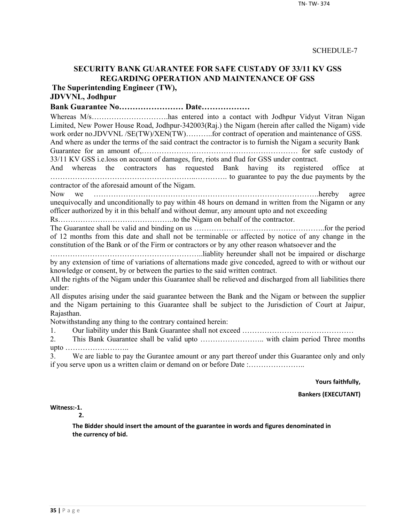## **SECURITY BANK GUARANTEE FOR SAFE CUSTADY OF 33/11 KV GSS REGARDING OPERATION AND MAINTENANCE OF GSS**

**The Superintending Engineer (TW),**

## **JDVVNL, Jodhpur**

**Bank Guarantee No…………………… Date………………**

Whereas M/s…………………………has entered into a contact with Jodhpur Vidyut Vitran Nigan Limited, New Power House Road, Jodhpur-342003(Raj.) the Nigam (herein after called the Nigam) vide work order no.JDVVNL /SE(TW)/XEN(TW)..........for contract of operation and maintenance of GSS. And where as under the terms of the said contract the contractor is to furnish the Nigam a security Bank

Guarantee for an amount of,……………………………………………………… for safe custody of 33/11 KV GSS i.e.loss on account of damages, fire, riots and flud for GSS under contract.

And whereas the contractors has requested Bank having its registered office at …………………………………………………..…………. to guarantee to pay the due payments by the contractor of the aforesaid amount of the Nigam.

Now we ……………………………………………………………………………….hereby agree unequivocally and unconditionally to pay within 48 hours on demand in written from the Nigamn or any officer authorized by it in this behalf and without demur, any amount upto and not exceeding

Rs………………………………………..to the Nigam on behalf of the contractor.

The Guarantee shall be valid and binding on us ……………………………………………..for the period of 12 months from this date and shall not be terminable or affected by notice of any change in the constitution of the Bank or of the Firm or contractors or by any other reason whatsoever and the

……………………………………………………..liablity hereunder shall not be impaired or discharge by any extension of time of variations of alternations made give conceded, agreed to with or without our knowledge or consent, by or between the parties to the said written contract.

All the rights of the Nigam under this Guarantee shall be relieved and discharged from all liabilities there under:

All disputes arising under the said guarantee between the Bank and the Nigam or between the supplier and the Nigam pertaining to this Guarantee shall be subject to the Jurisdiction of Court at Jaipur, Rajasthan.

Notwithstanding any thing to the contrary contained herein:

1. Our liability under this Bank Guarantee shall not exceed ………………………………………

2. This Bank Guarantee shall be valid upto …………………….. with claim period Three months upto ……………………..

3. We are liable to pay the Gurantee amount or any part thereof under this Guarantee only and only if you serve upon us a written claim or demand on or before Date :…………………..

**Yours faithfully,**

**Bankers (EXECUTANT)**

**Witness:-1.** 

**2.**

**The Bidder should insert the amount of the guarantee in words and figures denominated in the currency of bid.**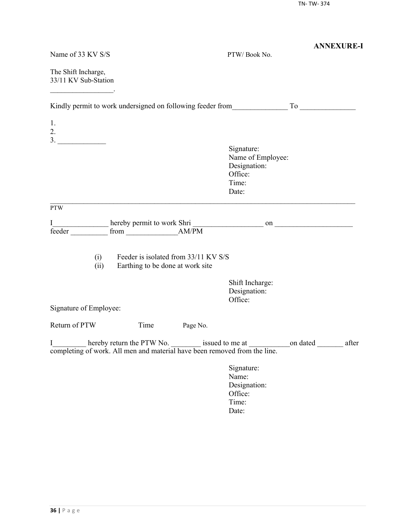|                                                                                |                                                                          |                                                                              | <b>ANNEXURE-I</b> |
|--------------------------------------------------------------------------------|--------------------------------------------------------------------------|------------------------------------------------------------------------------|-------------------|
| Name of 33 KV S/S                                                              |                                                                          | PTW/Book No.                                                                 |                   |
| The Shift Incharge,<br>33/11 KV Sub-Station                                    |                                                                          |                                                                              |                   |
| Kindly permit to work undersigned on following feeder from To                  |                                                                          |                                                                              |                   |
| 1.<br>2.                                                                       |                                                                          |                                                                              |                   |
|                                                                                |                                                                          |                                                                              |                   |
|                                                                                |                                                                          | Signature:<br>Name of Employee:<br>Designation:<br>Office:<br>Time:<br>Date: |                   |
| <b>PTW</b>                                                                     |                                                                          |                                                                              |                   |
| I<br>feeder                                                                    |                                                                          |                                                                              |                   |
| (i)<br>(ii)                                                                    | Feeder is isolated from 33/11 KV S/S<br>Earthing to be done at work site |                                                                              |                   |
|                                                                                |                                                                          | Shift Incharge:<br>Designation:<br>Office:                                   |                   |
| Signature of Employee:                                                         |                                                                          |                                                                              |                   |
| Return of PTW<br>Time                                                          | Page No.                                                                 |                                                                              |                   |
| I<br>completing of work. All men and material have been removed from the line. |                                                                          |                                                                              |                   |
|                                                                                |                                                                          | Signature:<br>Name:<br>Designation:<br>Office:<br>Time:<br>Date:             |                   |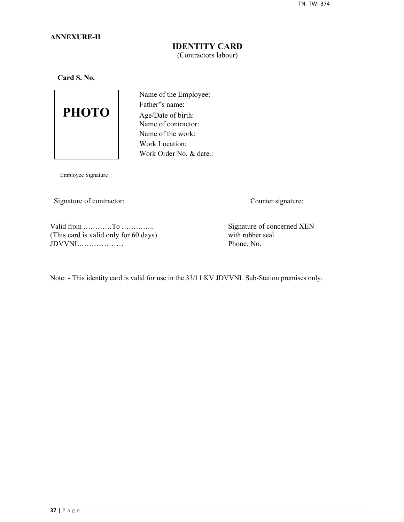## **ANNEXURE-II**

## **IDENTITY CARD** (Contractors labour)

**Card S. No.**



Name of the Employee: Father"s name: Age/Date of birth: Name of contractor: Name of the work: Work Location: Work Order No. & date.:

Employee Signature

Signature of contractor: Counter signature:

Valid from …………To …………..<br>
This card is valid only for 60 days) Signature of concerned XEN<br>
with rubber seal (This card is valid only for 60 days) with rubber seal  $JDVVNL$ 

Note: - This identity card is valid for use in the 33/11 KV JDVVNL Sub-Station premises only.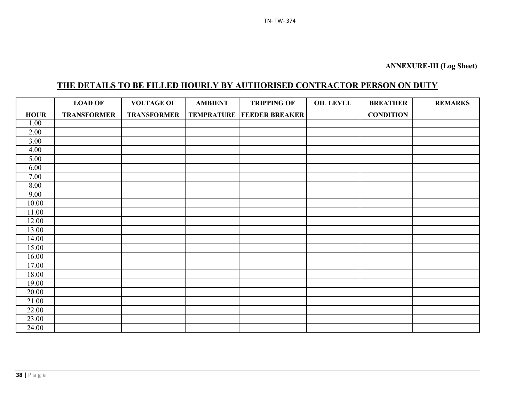# **THE DETAILS TO BE FILLED HOURLY BY AUTHORISED CONTRACTOR PERSON ON DUTY**

|                   | <b>LOAD OF</b>     | <b>VOLTAGE OF</b>  | <b>AMBIENT</b> | <b>TRIPPING OF</b>                   | <b>OIL LEVEL</b> | <b>BREATHER</b>  | <b>REMARKS</b> |
|-------------------|--------------------|--------------------|----------------|--------------------------------------|------------------|------------------|----------------|
| <b>HOUR</b>       | <b>TRANSFORMER</b> | <b>TRANSFORMER</b> |                | <b>TEMPRATURE   FEEDER BREAKER  </b> |                  | <b>CONDITION</b> |                |
| 1.00              |                    |                    |                |                                      |                  |                  |                |
| 2.00              |                    |                    |                |                                      |                  |                  |                |
| $\overline{3.00}$ |                    |                    |                |                                      |                  |                  |                |
| 4.00              |                    |                    |                |                                      |                  |                  |                |
| 5.00              |                    |                    |                |                                      |                  |                  |                |
| 6.00              |                    |                    |                |                                      |                  |                  |                |
| 7.00              |                    |                    |                |                                      |                  |                  |                |
| 8.00              |                    |                    |                |                                      |                  |                  |                |
| 9.00              |                    |                    |                |                                      |                  |                  |                |
| 10.00             |                    |                    |                |                                      |                  |                  |                |
| 11.00             |                    |                    |                |                                      |                  |                  |                |
| 12.00             |                    |                    |                |                                      |                  |                  |                |
| 13.00             |                    |                    |                |                                      |                  |                  |                |
| 14.00             |                    |                    |                |                                      |                  |                  |                |
| 15.00             |                    |                    |                |                                      |                  |                  |                |
| 16.00             |                    |                    |                |                                      |                  |                  |                |
| 17.00             |                    |                    |                |                                      |                  |                  |                |
| 18.00             |                    |                    |                |                                      |                  |                  |                |
| 19.00             |                    |                    |                |                                      |                  |                  |                |
| 20.00             |                    |                    |                |                                      |                  |                  |                |
| 21.00             |                    |                    |                |                                      |                  |                  |                |
| 22.00             |                    |                    |                |                                      |                  |                  |                |
| 23.00             |                    |                    |                |                                      |                  |                  |                |
| 24.00             |                    |                    |                |                                      |                  |                  |                |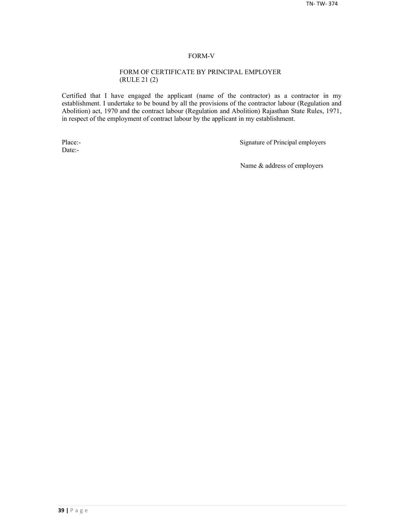#### FORM-V

#### FORM OF CERTIFICATE BY PRINCIPAL EMPLOYER (RULE 21 (2)

Certified that I have engaged the applicant (name of the contractor) as a contractor in my establishment. I undertake to be bound by all the provisions of the contractor labour (Regulation and Abolition) act, 1970 and the contract labour (Regulation and Abolition) Rajasthan State Rules, 1971, in respect of the employment of contract labour by the applicant in my establishment.

Date:-

Place:-<br>
Signature of Principal employers

Name & address of employers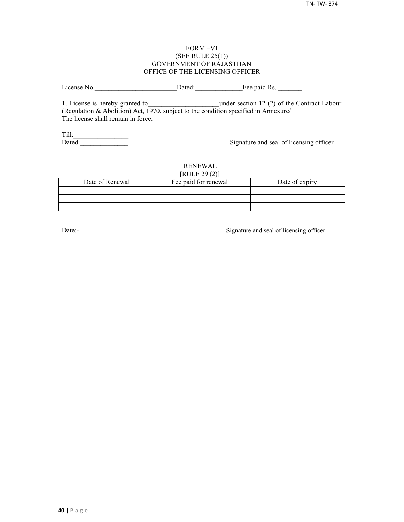#### FORM –VI (SEE RULE 25(1)) GOVERNMENT OF RAJASTHAN OFFICE OF THE LICENSING OFFICER

License No. 2012 Dated: The paid Rs.

1. License is hereby granted to **the under section 12 (2) of the Contract Labour** (Regulation & Abolition) Act, 1970, subject to the condition specified in Annexure/ The license shall remain in force.

Till:\_\_\_\_\_\_\_\_\_\_\_\_\_\_\_\_

Signature and seal of licensing officer

#### RENEWAL  $[PHH]$   $[20(2)]$

| NULEZ9(2)       |                      |                |  |  |  |  |  |
|-----------------|----------------------|----------------|--|--|--|--|--|
| Date of Renewal | Fee paid for renewal | Date of expiry |  |  |  |  |  |
|                 |                      |                |  |  |  |  |  |
|                 |                      |                |  |  |  |  |  |
|                 |                      |                |  |  |  |  |  |

Date:-<br>
Signature and seal of licensing officer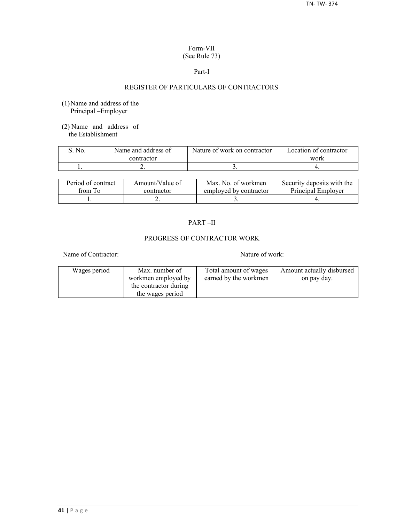## Form-VII (See Rule 73)

#### Part-I

## REGISTER OF PARTICULARS OF CONTRACTORS

- (1)Name and address of the Principal –Employer
- (2) Name and address of the Establishment

| No. | Name and address of | Nature of work on contractor | Location of contractor |  |
|-----|---------------------|------------------------------|------------------------|--|
|     | contractor          |                              | work                   |  |
|     | . .                 |                              |                        |  |

| Period of contract | Amount/Value of | Max. No. of workmen    | Security deposits with the |
|--------------------|-----------------|------------------------|----------------------------|
| from To            | contractor      | employed by contractor | Principal Employer         |
|                    | ∸               |                        |                            |

## PART –II

## PROGRESS OF CONTRACTOR WORK

Name of Contractor: Nature of work:

| Wages period | Max. number of        | Total amount of wages | Amount actually disbursed |
|--------------|-----------------------|-----------------------|---------------------------|
|              | workmen employed by   | earned by the workmen | on pay day.               |
|              | the contractor during |                       |                           |
|              | the wages period      |                       |                           |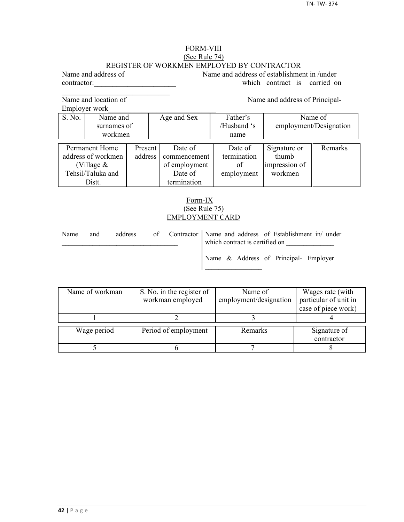#### FORM-VIII (See Rule 74) REGISTER OF WORKMEN EMPLOYED BY CONTRACTOR

Name and address of Name and address of establishment in /under contractor: which contract is carried on

Name and location of Name and address of Principal-

 $\mathcal{L}_\text{max}$ 

Employer work

S. No. Name and Age and Sex Father's Name of surnames of / /Husband 's employment/Designation workmen | name Permanent Home Present Date of Date of Signature or Remarks decrees of workmen address commencement termination thumb address of workmen address commencement termination (Village  $\&$   $\qquad$  of employment of impression of Tehsil/Taluka and **Date of** employment workmen Distt. **termination** 

## Form-IX (See Rule 75) EMPLOYMENT CARD

| Name | and | address |  | of Contractor Name and address of Establishment in/ under<br>which contract is certified on |
|------|-----|---------|--|---------------------------------------------------------------------------------------------|
|      |     |         |  | Name & Address of Principal- Employer                                                       |

| Name of workman | S. No. in the register of | Name of                | Wages rate (with      |
|-----------------|---------------------------|------------------------|-----------------------|
|                 | workman employed          | employment/designation | particular of unit in |
|                 |                           |                        | case of piece work)   |
|                 |                           |                        |                       |
| Wage period     | Period of employment      | Remarks                |                       |
|                 |                           |                        | Signature of          |
|                 |                           |                        | contractor            |
|                 |                           |                        |                       |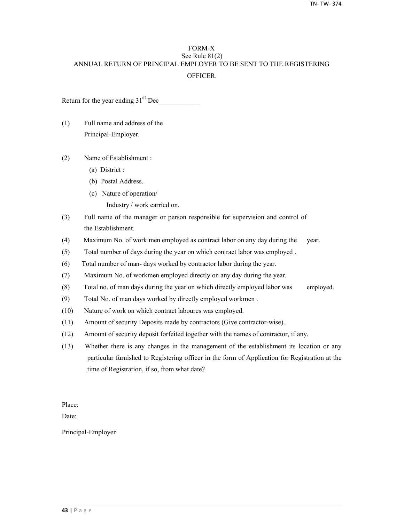## FORM-X See Rule 81(2) ANNUAL RETURN OF PRINCIPAL EMPLOYER TO BE SENT TO THE REGISTERING **OFFICER**

Return for the year ending  $31<sup>st</sup>$  Dec

- (1) Full name and address of the Principal-Employer.
- (2) Name of Establishment :
	- (a) District :
	- (b) Postal Address.
	- (c) Nature of operation/
		- Industry / work carried on.
- (3) Full name of the manager or person responsible for supervision and control of the Establishment.
- (4) Maximum No. of work men employed as contract labor on any day during the year.
- (5) Total number of days during the year on which contract labor was employed .
- (6) Total number of man- days worked by contractor labor during the year.
- (7) Maximum No. of workmen employed directly on any day during the year.
- (8) Total no. of man days during the year on which directly employed labor was employed.
- (9) Total No. of man days worked by directly employed workmen .
- (10) Nature of work on which contract laboures was employed.
- (11) Amount of security Deposits made by contractors (Give contractor-wise).
- (12) Amount of security deposit forfeited together with the names of contractor, if any.
- (13) Whether there is any changes in the management of the establishment its location or any particular furnished to Registering officer in the form of Application for Registration at the time of Registration, if so, from what date?

Place:

Date:

Principal-Employer